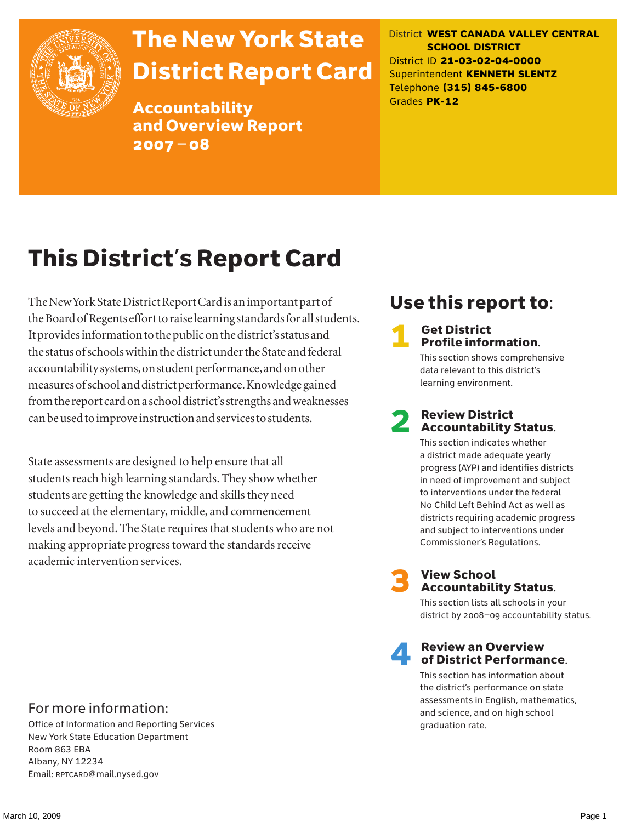

# The New York State District Report Card

Accountability and Overview Report 2007–08

District **WEST CANADA VALLEY CENTRAL SCHOOL DISTRICT** District ID **21-03-02-04-0000** Superintendent **KENNETH SLENTZ** Telephone **(315) 845-6800** Grades **PK-12**

# This District's Report Card

The New York State District Report Card is an important part of the Board of Regents effort to raise learning standards for all students. It provides information to the public on the district's status and the status of schools within the district under the State and federal accountability systems, on student performance, and on other measures of school and district performance. Knowledge gained from the report card on a school district's strengths and weaknesses can be used to improve instruction and services to students.

State assessments are designed to help ensure that all students reach high learning standards. They show whether students are getting the knowledge and skills they need to succeed at the elementary, middle, and commencement levels and beyond. The State requires that students who are not making appropriate progress toward the standards receive academic intervention services.

# Use this report to:

### **Get District** Profile information.

This section shows comprehensive data relevant to this district's learning environment.

### **Review District** Accountability Status.

This section indicates whether a district made adequate yearly progress (AYP) and identifies districts in need of improvement and subject to interventions under the federal No Child Left Behind Act as well as districts requiring academic progress and subject to interventions under Commissioner's Regulations.



# **3** View School<br>Accountability Status.

This section lists all schools in your district by 2008–09 accountability status.

### **Review an Overview** of District Performance.

This section has information about the district's performance on state assessments in English, mathematics, and science, and on high school graduation rate.

### For more information:

Office of Information and Reporting Services New York State Education Department Room 863 EBA Albany, NY 12234 Email: RPTCARD@mail.nysed.gov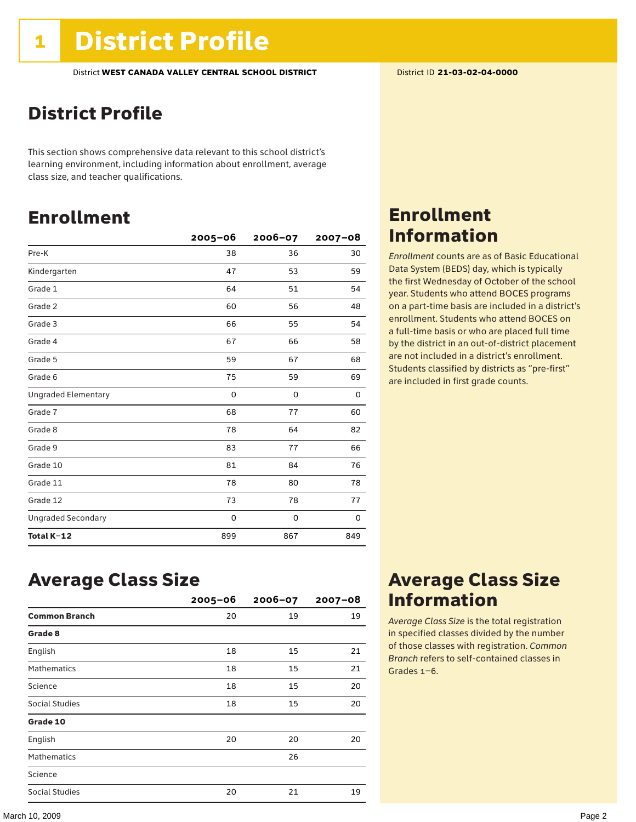# District Profile

This section shows comprehensive data relevant to this school district's learning environment, including information about enrollment, average class size, and teacher qualifications.

# Enrollment

|                            | 2005-06 | $2006 - 07$ | $2007 - 08$ |
|----------------------------|---------|-------------|-------------|
| Pre-K                      | 38      | 36          | 30          |
| Kindergarten               | 47      | 53          | 59          |
| Grade 1                    | 64      | 51          | 54          |
| Grade 2                    | 60      | 56          | 48          |
| Grade 3                    | 66      | 55          | 54          |
| Grade 4                    | 67      | 66          | 58          |
| Grade 5                    | 59      | 67          | 68          |
| Grade 6                    | 75      | 59          | 69          |
| <b>Ungraded Elementary</b> | 0       | 0           | 0           |
| Grade 7                    | 68      | 77          | 60          |
| Grade 8                    | 78      | 64          | 82          |
| Grade 9                    | 83      | 77          | 66          |
| Grade 10                   | 81      | 84          | 76          |
| Grade 11                   | 78      | 80          | 78          |
| Grade 12                   | 73      | 78          | 77          |
| <b>Ungraded Secondary</b>  | 0       | 0           | 0           |
| Total K-12                 | 899     | 867         | 849         |

## Enrollment Information

*Enrollment* counts are as of Basic Educational Data System (BEDS) day, which is typically the first Wednesday of October of the school year. Students who attend BOCES programs on a part-time basis are included in a district's enrollment. Students who attend BOCES on a full-time basis or who are placed full time by the district in an out-of-district placement are not included in a district's enrollment. Students classified by districts as "pre-first" are included in first grade counts.

### Average Class Size

|                      | $2005 - 06$ | $2006 - 07$ | $2007 - 08$ |
|----------------------|-------------|-------------|-------------|
| <b>Common Branch</b> | 20          | 19          | 19          |
| Grade 8              |             |             |             |
| English              | 18          | 15          | 21          |
| <b>Mathematics</b>   | 18          | 15          | 21          |
| Science              | 18          | 15          | 20          |
| Social Studies       | 18          | 15          | 20          |
| Grade 10             |             |             |             |
| English              | 20          | 20          | 20          |
| <b>Mathematics</b>   |             | 26          |             |
| Science              |             |             |             |
| Social Studies       | 20          | 21          | 19          |

### Average Class Size Information

*Average Class Size* is the total registration in specified classes divided by the number of those classes with registration. *Common Branch* refers to self-contained classes in Grades 1–6.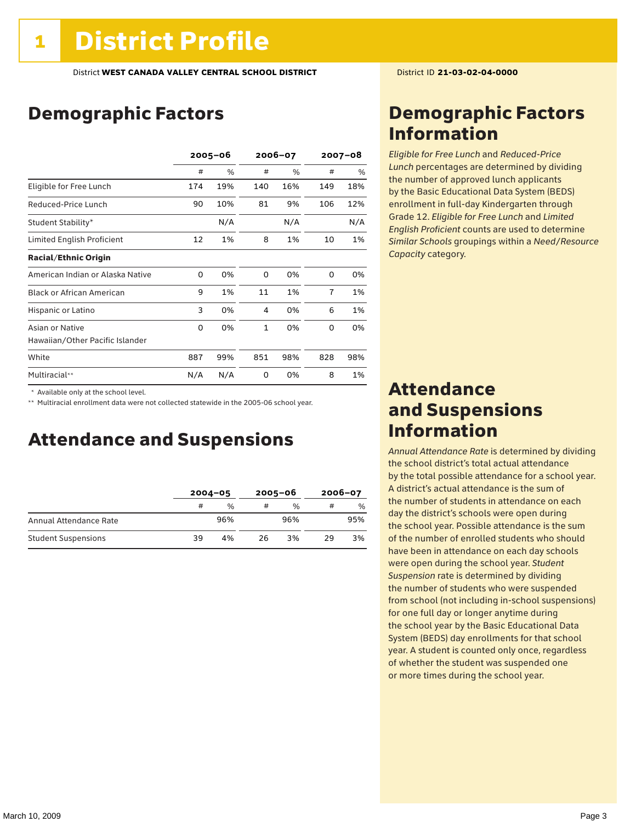# Demographic Factors

|                                  | $2005 - 06$ |     | 2006-07      |     | $2007 - 08$    |     |
|----------------------------------|-------------|-----|--------------|-----|----------------|-----|
|                                  | #           | %   | #            | %   | #              | %   |
| Eligible for Free Lunch          | 174         | 19% | 140          | 16% | 149            | 18% |
| Reduced-Price Lunch              | 90          | 10% | 81           | 9%  | 106            | 12% |
| Student Stability*               |             | N/A |              | N/A |                | N/A |
| Limited English Proficient       | 12          | 1%  | 8            | 1%  | 10             | 1%  |
| <b>Racial/Ethnic Origin</b>      |             |     |              |     |                |     |
| American Indian or Alaska Native | 0           | 0%  | 0            | 0%  | 0              | 0%  |
| <b>Black or African American</b> | 9           | 1%  | 11           | 1%  | $\overline{7}$ | 1%  |
| Hispanic or Latino               | 3           | 0%  | 4            | 0%  | 6              | 1%  |
| Asian or Native                  | 0           | 0%  | $\mathbf{1}$ | 0%  | 0              | 0%  |
| Hawaiian/Other Pacific Islander  |             |     |              |     |                |     |
| White                            | 887         | 99% | 851          | 98% | 828            | 98% |
| Multiracial**                    | N/A         | N/A | 0            | 0%  | 8              | 1%  |

\* Available only at the school level.

\*\* Multiracial enrollment data were not collected statewide in the 2005-06 school year.

### Attendance and Suspensions

|                            | $2004 - 05$ |               | $2005 - 06$ |               | $2006 - 07$ |     |
|----------------------------|-------------|---------------|-------------|---------------|-------------|-----|
|                            | #           | $\frac{0}{0}$ |             | $\frac{0}{0}$ |             | %   |
| Annual Attendance Rate     |             | 96%           |             | 96%           |             | 95% |
| <b>Student Suspensions</b> | 39          | 4%            | 26          | 3%            | 29          | 3%  |

### Demographic Factors Information

*Eligible for Free Lunch* and *Reduced*-*Price Lunch* percentages are determined by dividing the number of approved lunch applicants by the Basic Educational Data System (BEDS) enrollment in full-day Kindergarten through Grade 12. *Eligible for Free Lunch* and *Limited English Proficient* counts are used to determine *Similar Schools* groupings within a *Need*/*Resource Capacity* category.

### Attendance and Suspensions Information

*Annual Attendance Rate* is determined by dividing the school district's total actual attendance by the total possible attendance for a school year. A district's actual attendance is the sum of the number of students in attendance on each day the district's schools were open during the school year. Possible attendance is the sum of the number of enrolled students who should have been in attendance on each day schools were open during the school year. *Student Suspension* rate is determined by dividing the number of students who were suspended from school (not including in-school suspensions) for one full day or longer anytime during the school year by the Basic Educational Data System (BEDS) day enrollments for that school year. A student is counted only once, regardless of whether the student was suspended one or more times during the school year.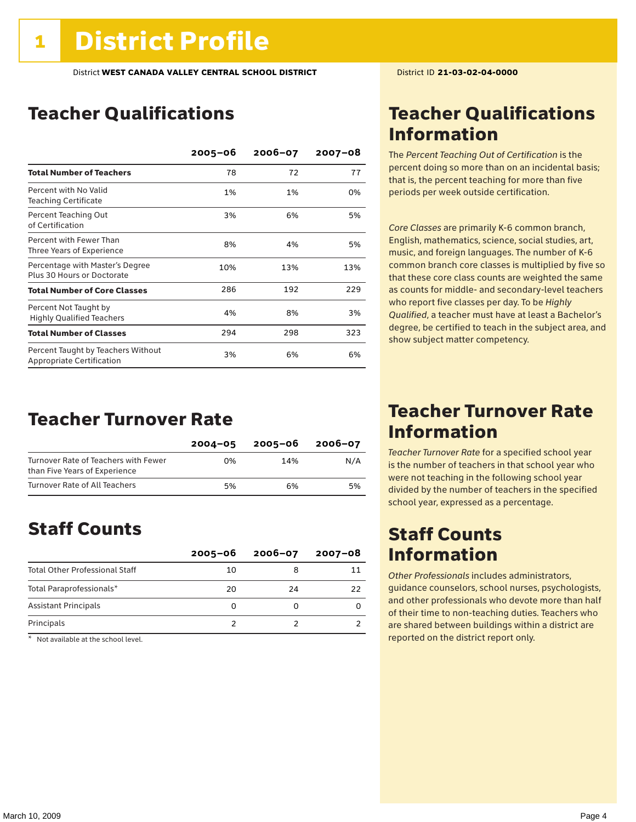# Teacher Qualifications

|                                                                        | $2005 - 06$ | $2006 - 07$ | 2007-08 |
|------------------------------------------------------------------------|-------------|-------------|---------|
| <b>Total Number of Teachers</b>                                        | 78          | 72          | 77      |
| Percent with No Valid<br><b>Teaching Certificate</b>                   | 1%          | 1%          | 0%      |
| Percent Teaching Out<br>of Certification                               | 3%          | 6%          | 5%      |
| Percent with Fewer Than<br>Three Years of Experience                   | 8%          | 4%          | 5%      |
| Percentage with Master's Degree<br>Plus 30 Hours or Doctorate          | 10%         | 13%         | 13%     |
| <b>Total Number of Core Classes</b>                                    | 286         | 192         | 229     |
| Percent Not Taught by<br><b>Highly Qualified Teachers</b>              | 4%          | 8%          | 3%      |
| <b>Total Number of Classes</b>                                         | 294         | 298         | 323     |
| Percent Taught by Teachers Without<br><b>Appropriate Certification</b> | 3%          | 6%          | 6%      |

### Teacher Turnover Rate

|                                                                       | $2004 - 05$ | 2005-06 | 2006-07 |
|-----------------------------------------------------------------------|-------------|---------|---------|
| Turnover Rate of Teachers with Fewer<br>than Five Years of Experience | በ%          | 14%     | N/A     |
| Turnover Rate of All Teachers                                         | 5%          | 6%      | 5%      |

### Staff Counts

|                                       | $2005 - 06$ | $2006 - 07$ | $2007 - 08$ |
|---------------------------------------|-------------|-------------|-------------|
| <b>Total Other Professional Staff</b> | 10          |             |             |
| Total Paraprofessionals*              | 20          | 24          | 22          |
| <b>Assistant Principals</b>           |             |             |             |
| Principals                            |             |             |             |

 $*$  Not available at the school level.

# Teacher Qualifications Information

The *Percent Teaching Out of Certification* is the percent doing so more than on an incidental basis; that is, the percent teaching for more than five periods per week outside certification.

*Core Classes* are primarily K-6 common branch, English, mathematics, science, social studies, art, music, and foreign languages. The number of K-6 common branch core classes is multiplied by five so that these core class counts are weighted the same as counts for middle- and secondary-level teachers who report five classes per day. To be *Highly Qualified*, a teacher must have at least a Bachelor's degree, be certified to teach in the subject area, and show subject matter competency.

### Teacher Turnover Rate Information

*Teacher Turnover Rate* for a specified school year is the number of teachers in that school year who were not teaching in the following school year divided by the number of teachers in the specified school year, expressed as a percentage.

### Staff Counts Information

*Other Professionals* includes administrators, guidance counselors, school nurses, psychologists, and other professionals who devote more than half of their time to non-teaching duties. Teachers who are shared between buildings within a district are reported on the district report only.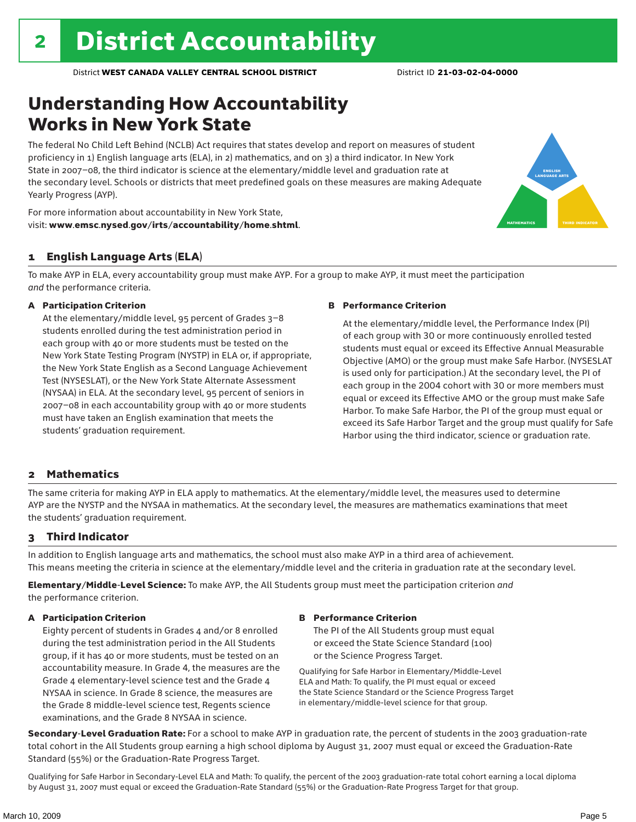# Understanding How Accountability Works in New York State

The federal No Child Left Behind (NCLB) Act requires that states develop and report on measures of student proficiency in 1) English language arts (ELA), in 2) mathematics, and on 3) a third indicator. In New York State in 2007–08, the third indicator is science at the elementary/middle level and graduation rate at the secondary level. Schools or districts that meet predefined goals on these measures are making Adequate Yearly Progress (AYP).



For more information about accountability in New York State, visit: www.emsc.nysed.gov/irts/accountability/home.shtml.

### 1 English Language Arts (ELA)

To make AYP in ELA, every accountability group must make AYP. For a group to make AYP, it must meet the participation *and* the performance criteria.

#### A Participation Criterion

At the elementary/middle level, 95 percent of Grades 3–8 students enrolled during the test administration period in each group with 40 or more students must be tested on the New York State Testing Program (NYSTP) in ELA or, if appropriate, the New York State English as a Second Language Achievement Test (NYSESLAT), or the New York State Alternate Assessment (NYSAA) in ELA. At the secondary level, 95 percent of seniors in 2007–08 in each accountability group with 40 or more students must have taken an English examination that meets the students' graduation requirement.

#### B Performance Criterion

At the elementary/middle level, the Performance Index (PI) of each group with 30 or more continuously enrolled tested students must equal or exceed its Effective Annual Measurable Objective (AMO) or the group must make Safe Harbor. (NYSESLAT is used only for participation.) At the secondary level, the PI of each group in the 2004 cohort with 30 or more members must equal or exceed its Effective AMO or the group must make Safe Harbor. To make Safe Harbor, the PI of the group must equal or exceed its Safe Harbor Target and the group must qualify for Safe Harbor using the third indicator, science or graduation rate.

#### 2 Mathematics

The same criteria for making AYP in ELA apply to mathematics. At the elementary/middle level, the measures used to determine AYP are the NYSTP and the NYSAA in mathematics. At the secondary level, the measures are mathematics examinations that meet the students' graduation requirement.

### 3 Third Indicator

In addition to English language arts and mathematics, the school must also make AYP in a third area of achievement. This means meeting the criteria in science at the elementary/middle level and the criteria in graduation rate at the secondary level.

Elementary/Middle-Level Science: To make AYP, the All Students group must meet the participation criterion *and* the performance criterion.

### A Participation Criterion

Eighty percent of students in Grades 4 and/or 8 enrolled during the test administration period in the All Students group, if it has 40 or more students, must be tested on an accountability measure. In Grade 4, the measures are the Grade 4 elementary-level science test and the Grade 4 NYSAA in science. In Grade 8 science, the measures are the Grade 8 middle-level science test, Regents science examinations, and the Grade 8 NYSAA in science.

#### B Performance Criterion

The PI of the All Students group must equal or exceed the State Science Standard (100) or the Science Progress Target.

Qualifying for Safe Harbor in Elementary/Middle-Level ELA and Math: To qualify, the PI must equal or exceed the State Science Standard or the Science Progress Target in elementary/middle-level science for that group.

Secondary-Level Graduation Rate: For a school to make AYP in graduation rate, the percent of students in the 2003 graduation-rate total cohort in the All Students group earning a high school diploma by August 31, 2007 must equal or exceed the Graduation-Rate Standard (55%) or the Graduation-Rate Progress Target.

Qualifying for Safe Harbor in Secondary-Level ELA and Math: To qualify, the percent of the 2003 graduation-rate total cohort earning a local diploma by August 31, 2007 must equal or exceed the Graduation-Rate Standard (55%) or the Graduation-Rate Progress Target for that group.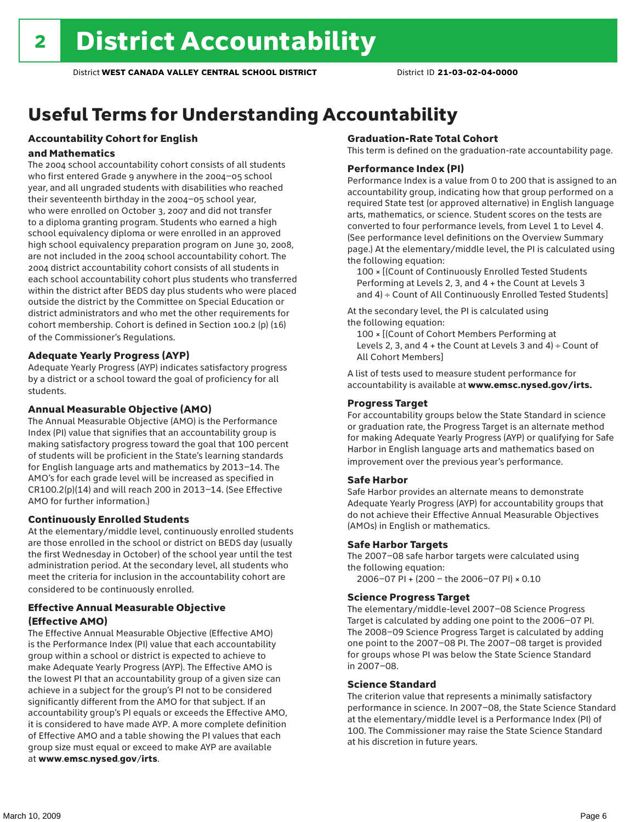# Useful Terms for Understanding Accountability

### Accountability Cohort for English

#### and Mathematics

The 2004 school accountability cohort consists of all students who first entered Grade 9 anywhere in the 2004–05 school year, and all ungraded students with disabilities who reached their seventeenth birthday in the 2004–05 school year, who were enrolled on October 3, 2007 and did not transfer to a diploma granting program. Students who earned a high school equivalency diploma or were enrolled in an approved high school equivalency preparation program on June 30, 2008, are not included in the 2004 school accountability cohort. The 2004 district accountability cohort consists of all students in each school accountability cohort plus students who transferred within the district after BEDS day plus students who were placed outside the district by the Committee on Special Education or district administrators and who met the other requirements for cohort membership. Cohort is defined in Section 100.2 (p) (16) of the Commissioner's Regulations.

#### Adequate Yearly Progress (AYP)

Adequate Yearly Progress (AYP) indicates satisfactory progress by a district or a school toward the goal of proficiency for all students.

#### Annual Measurable Objective (AMO)

The Annual Measurable Objective (AMO) is the Performance Index (PI) value that signifies that an accountability group is making satisfactory progress toward the goal that 100 percent of students will be proficient in the State's learning standards for English language arts and mathematics by 2013–14. The AMO's for each grade level will be increased as specified in CR100.2(p)(14) and will reach 200 in 2013–14. (See Effective AMO for further information.)

#### Continuously Enrolled Students

At the elementary/middle level, continuously enrolled students are those enrolled in the school or district on BEDS day (usually the first Wednesday in October) of the school year until the test administration period. At the secondary level, all students who meet the criteria for inclusion in the accountability cohort are considered to be continuously enrolled.

### Effective Annual Measurable Objective (Effective AMO)

The Effective Annual Measurable Objective (Effective AMO) is the Performance Index (PI) value that each accountability group within a school or district is expected to achieve to make Adequate Yearly Progress (AYP). The Effective AMO is the lowest PI that an accountability group of a given size can achieve in a subject for the group's PI not to be considered significantly different from the AMO for that subject. If an accountability group's PI equals or exceeds the Effective AMO, it is considered to have made AYP. A more complete definition of Effective AMO and a table showing the PI values that each group size must equal or exceed to make AYP are available at www.emsc.nysed.gov/irts.

#### Graduation-Rate Total Cohort

This term is defined on the graduation-rate accountability page.

#### Performance Index (PI)

Performance Index is a value from 0 to 200 that is assigned to an accountability group, indicating how that group performed on a required State test (or approved alternative) in English language arts, mathematics, or science. Student scores on the tests are converted to four performance levels, from Level 1 to Level 4. (See performance level definitions on the Overview Summary page.) At the elementary/middle level, the PI is calculated using the following equation:

100 × [(Count of Continuously Enrolled Tested Students Performing at Levels 2, 3, and 4 + the Count at Levels 3 and 4) ÷ Count of All Continuously Enrolled Tested Students]

At the secondary level, the PI is calculated using the following equation:

100 × [(Count of Cohort Members Performing at Levels 2, 3, and  $4 +$  the Count at Levels 3 and  $4) \div$  Count of All Cohort Members]

A list of tests used to measure student performance for accountability is available at www.emsc.nysed.gov/irts.

#### Progress Target

For accountability groups below the State Standard in science or graduation rate, the Progress Target is an alternate method for making Adequate Yearly Progress (AYP) or qualifying for Safe Harbor in English language arts and mathematics based on improvement over the previous year's performance.

#### Safe Harbor

Safe Harbor provides an alternate means to demonstrate Adequate Yearly Progress (AYP) for accountability groups that do not achieve their Effective Annual Measurable Objectives (AMOs) in English or mathematics.

#### Safe Harbor Targets

The 2007–08 safe harbor targets were calculated using the following equation:

2006–07 PI + (200 – the 2006–07 PI) × 0.10

#### Science Progress Target

The elementary/middle-level 2007–08 Science Progress Target is calculated by adding one point to the 2006–07 PI. The 2008–09 Science Progress Target is calculated by adding one point to the 2007–08 PI. The 2007–08 target is provided for groups whose PI was below the State Science Standard in 2007–08.

#### Science Standard

The criterion value that represents a minimally satisfactory performance in science. In 2007–08, the State Science Standard at the elementary/middle level is a Performance Index (PI) of 100. The Commissioner may raise the State Science Standard at his discretion in future years.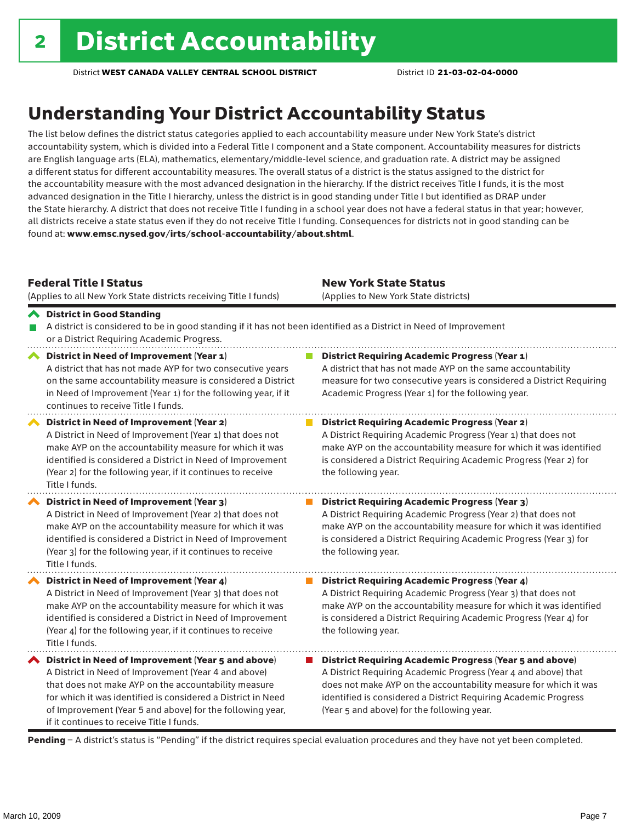# Understanding Your District Accountability Status

The list below defines the district status categories applied to each accountability measure under New York State's district accountability system, which is divided into a Federal Title I component and a State component. Accountability measures for districts are English language arts (ELA), mathematics, elementary/middle-level science, and graduation rate. A district may be assigned a different status for different accountability measures. The overall status of a district is the status assigned to the district for the accountability measure with the most advanced designation in the hierarchy. If the district receives Title I funds, it is the most advanced designation in the Title I hierarchy, unless the district is in good standing under Title I but identified as DRAP under the State hierarchy. A district that does not receive Title I funding in a school year does not have a federal status in that year; however, all districts receive a state status even if they do not receive Title I funding. Consequences for districts not in good standing can be found at: www.emsc.nysed.gov/irts/school-accountability/about.shtml.

### Federal Title I Status

District in Good Standing

(Applies to all New York State districts receiving Title I funds)

New York State Status (Applies to New York State districts)

the following year.

#### A district is considered to be in good standing if it has not been identified as a District in Need of Improvement or a District Requiring Academic Progress. ◆ District in Need of Improvement (Year 1) **District Requiring Academic Progress (Year 1)** A district that has not made AYP for two consecutive years A district that has not made AYP on the same accountability measure for two consecutive years is considered a District Requiring on the same accountability measure is considered a District in Need of Improvement (Year 1) for the following year, if it Academic Progress (Year 1) for the following year.

continues to receive Title I funds. District in Need of Improvement (Year 2) **District Requiring Academic Progress (Year 2)** A District in Need of Improvement (Year 1) that does not A District Requiring Academic Progress (Year 1) that does not make AYP on the accountability measure for which it was make AYP on the accountability measure for which it was identified identified is considered a District in Need of Improvement is considered a District Requiring Academic Progress (Year 2) for (Year 2) for the following year, if it continues to receive the following year. Title I funds. District in Need of Improvement (Year 3)  $\mathcal{L}_{\mathcal{A}}$ District Requiring Academic Progress (Year 3)

A District in Need of Improvement (Year 2) that does not make AYP on the accountability measure for which it was identified is considered a District in Need of Improvement (Year 3) for the following year, if it continues to receive Title I funds.

◆ District in Need of Improvement (Year 4) A District in Need of Improvement (Year 3) that does not make AYP on the accountability measure for which it was identified is considered a District in Need of Improvement (Year 4) for the following year, if it continues to receive Title I funds.

 $\blacktriangle$  District in Need of Improvement (Year 5 and above) A District in Need of Improvement (Year 4 and above) that does not make AYP on the accountability measure for which it was identified is considered a District in Need of Improvement (Year 5 and above) for the following year, if it continues to receive Title I funds.

make AYP on the accountability measure for which it was identified is considered a District Requiring Academic Progress (Year 4) for the following year. ■ District Requiring Academic Progress (Year 5 and above)

A District Requiring Academic Progress (Year 2) that does not make AYP on the accountability measure for which it was identified is considered a District Requiring Academic Progress (Year 3) for

A District Requiring Academic Progress (Year 3) that does not

**District Requiring Academic Progress (Year 4)** 

A District Requiring Academic Progress (Year 4 and above) that does not make AYP on the accountability measure for which it was identified is considered a District Requiring Academic Progress (Year 5 and above) for the following year.

Pending - A district's status is "Pending" if the district requires special evaluation procedures and they have not yet been completed.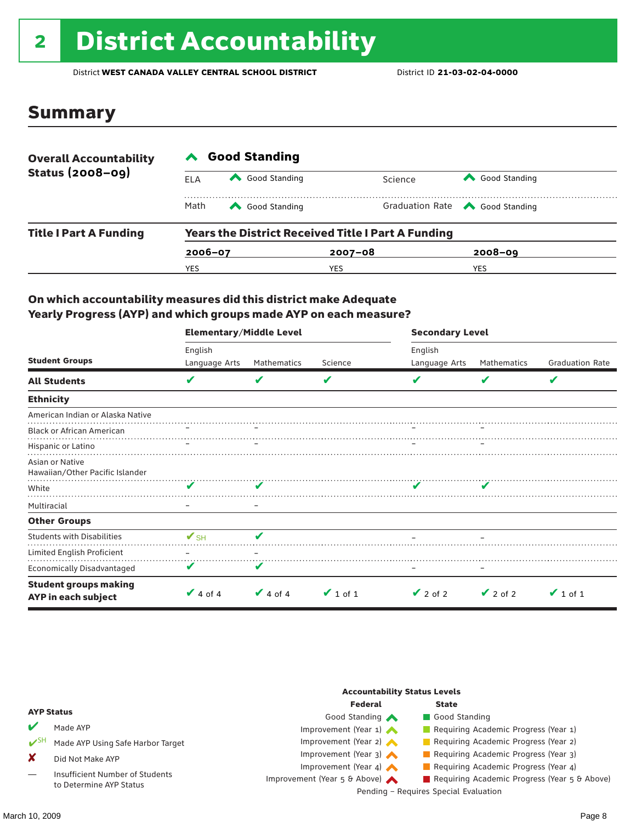# 2 District Accountability

District **WEST CANADA VALLEY CENTRAL SCHOOL DISTRICT** District ID **21-03-02-04-0000**

### Summary

| <b>Overall Accountability</b><br><b>Status (2008-09)</b> | <b>Good Standing</b> |               |                                                           |                                       |  |  |  |
|----------------------------------------------------------|----------------------|---------------|-----------------------------------------------------------|---------------------------------------|--|--|--|
|                                                          | ELA                  | Good Standing | Science                                                   | Good Standing                         |  |  |  |
|                                                          | Math                 | Good Standing |                                                           | Graduation Rate <a> Good Standing</a> |  |  |  |
| <b>Title I Part A Funding</b>                            |                      |               | <b>Years the District Received Title I Part A Funding</b> |                                       |  |  |  |
|                                                          | $2006 - 07$          |               | $2007 - 08$                                               | $2008 - 09$                           |  |  |  |
|                                                          | YES                  |               | YES                                                       | YES                                   |  |  |  |

### On which accountability measures did this district make Adequate Yearly Progress (AYP) and which groups made AYP on each measure?

|                                                     | <b>Elementary/Middle Level</b> |               |               | <b>Secondary Level</b> |               |                        |  |
|-----------------------------------------------------|--------------------------------|---------------|---------------|------------------------|---------------|------------------------|--|
|                                                     | English                        |               |               | English                |               |                        |  |
| <b>Student Groups</b>                               | Language Arts                  | Mathematics   | Science       | Language Arts          | Mathematics   | <b>Graduation Rate</b> |  |
| <b>All Students</b>                                 | V                              | V             | V             |                        | V             | V                      |  |
| <b>Ethnicity</b>                                    |                                |               |               |                        |               |                        |  |
| American Indian or Alaska Native                    |                                |               |               |                        |               |                        |  |
| <b>Black or African American</b>                    |                                |               |               |                        |               |                        |  |
| Hispanic or Latino                                  |                                |               |               |                        |               |                        |  |
| Asian or Native<br>Hawaiian/Other Pacific Islander  |                                |               |               |                        |               |                        |  |
| White                                               |                                |               |               |                        |               |                        |  |
| Multiracial                                         |                                |               |               |                        |               |                        |  |
| <b>Other Groups</b>                                 |                                |               |               |                        |               |                        |  |
| <b>Students with Disabilities</b>                   | $\mathbf{V}_{\text{SH}}$       | ✔             |               |                        |               |                        |  |
| Limited English Proficient                          |                                |               |               |                        |               |                        |  |
| Economically Disadvantaged                          |                                | V             |               |                        |               |                        |  |
| <b>Student groups making</b><br>AYP in each subject | $\vee$ 4 of 4                  | $\vee$ 4 of 4 | $\vee$ 1 of 1 | $\vee$ 2 of 2          | $\vee$ 2 of 2 | $\vee$ 1 of 1          |  |

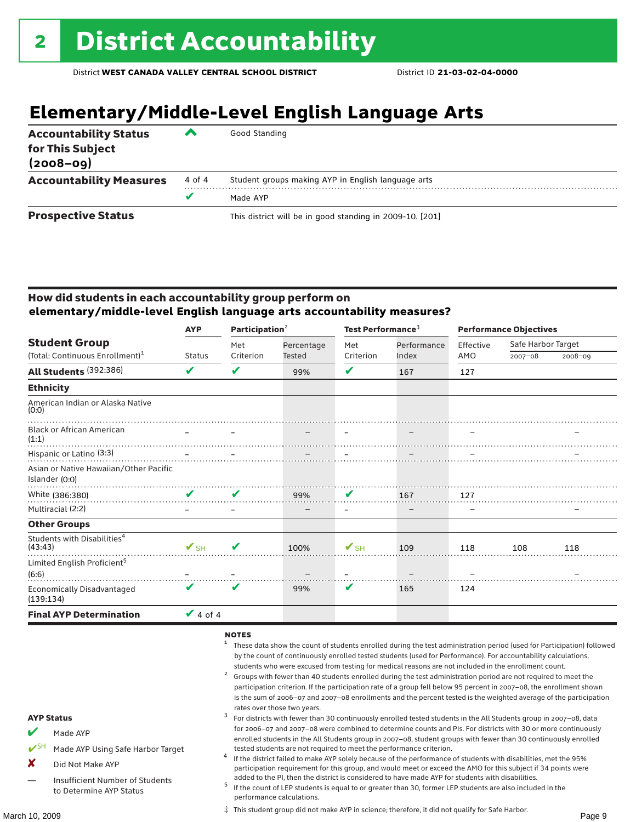# **Elementary/Middle-Level English Language Arts**

| <b>Accountability Status</b><br>for This Subject<br>$(2008 - 09)$ | ▰      | Good Standing                                            |
|-------------------------------------------------------------------|--------|----------------------------------------------------------|
| <b>Accountability Measures</b>                                    | 4 of 4 | Student groups making AYP in English language arts       |
|                                                                   | v      | Made AYP                                                 |
| <b>Prospective Status</b>                                         |        | This district will be in good standing in 2009-10. [201] |

### How did students in each accountability group perform on **elementary/middle-level English language arts accountability measures?**

|                                                    | Participation $2$<br><b>AYP</b> |                            | Test Performance <sup>3</sup> |                          |       | <b>Performance Objectives</b> |             |             |           |                    |  |
|----------------------------------------------------|---------------------------------|----------------------------|-------------------------------|--------------------------|-------|-------------------------------|-------------|-------------|-----------|--------------------|--|
| <b>Student Group</b>                               |                                 |                            |                               |                          | Met   | Percentage                    | Met         | Performance | Effective | Safe Harbor Target |  |
| (Total: Continuous Enrollment) <sup>1</sup>        | <b>Status</b>                   | Criterion                  | <b>Tested</b>                 | Criterion                | Index | AMO                           | $2007 - 08$ | $2008 - 09$ |           |                    |  |
| All Students (392:386)                             | V                               | V                          | 99%                           | V                        | 167   | 127                           |             |             |           |                    |  |
| <b>Ethnicity</b>                                   |                                 |                            |                               |                          |       |                               |             |             |           |                    |  |
| American Indian or Alaska Native<br>(0:0)          |                                 |                            |                               |                          |       |                               |             |             |           |                    |  |
| <b>Black or African American</b><br>(1:1)          |                                 |                            |                               |                          |       |                               |             |             |           |                    |  |
| Hispanic or Latino (3:3)                           |                                 |                            |                               |                          |       |                               |             |             |           |                    |  |
| Asian or Native Hawaiian/Other Pacific             |                                 |                            |                               |                          |       |                               |             |             |           |                    |  |
| Islander (0:0)                                     |                                 |                            |                               |                          |       |                               |             |             |           |                    |  |
| White (386:380)                                    | V                               | $\mathbf{v}$               | 99%                           | V                        | 167   | 127                           |             |             |           |                    |  |
| Multiracial (2:2)                                  |                                 |                            |                               | -                        |       |                               |             |             |           |                    |  |
| <b>Other Groups</b>                                |                                 |                            |                               |                          |       |                               |             |             |           |                    |  |
| Students with Disabilities <sup>4</sup><br>(43:43) | $\mathbf{V}_{\text{SH}}$        | $\boldsymbol{\mathcal{U}}$ | 100%                          | $\mathbf{V}_{\text{SH}}$ | 109   | 118                           | 108         | 118         |           |                    |  |
| Limited English Proficient <sup>5</sup><br>(6:6)   |                                 |                            |                               |                          |       |                               |             |             |           |                    |  |
| <b>Economically Disadvantaged</b><br>(139:134)     | V                               | V                          | 99%                           | V                        | 165   | 124                           |             |             |           |                    |  |
| <b>Final AYP Determination</b>                     | $\vee$ 4 of 4                   |                            |                               |                          |       |                               |             |             |           |                    |  |

### NOTES

- <sup>1</sup> These data show the count of students enrolled during the test administration period (used for Participation) followed by the count of continuously enrolled tested students (used for Performance). For accountability calculations,
- students who were excused from testing for medical reasons are not included in the enrollment count.<br>Groups with fewer than 40 students enrolled during the test administration period are not required to meet the participation criterion. If the participation rate of a group fell below 95 percent in 2007–08, the enrollment shown is the sum of 2006–07 and 2007–08 enrollments and the percent tested is the weighted average of the participation
- rates over those two years.<br><sup>3</sup> For districts with fewer than 30 continuously enrolled tested students in the All Students group in 2007–08, data for 2006–07 and 2007–08 were combined to determine counts and PIs. For districts with 30 or more continuously enrolled students in the All Students group in 2007–08, student groups with fewer than 30 continuously enrolled tested students are not required to meet the performance criterion. <sup>4</sup> If the district failed to make AYP solely because of the performance of students with disabilities, met the 95%
	- participation requirement for this group, and would meet or exceed the AMO for this subject if 34 points were
	- added to the PI, then the district is considered to have made AYP for students with disabilities.<br><sup>5</sup> If the count of LEP students is equal to or greater than 30, former LEP students are also included in the performance calculations.

‡ This student group did not make AYP in science; therefore, it did not qualify for Safe Harbor.

AYP Status

Made AYP

X Did Not Make AYP

Made AYP Using Safe Harbor Target

Insufficient Number of Students to Determine AYP Status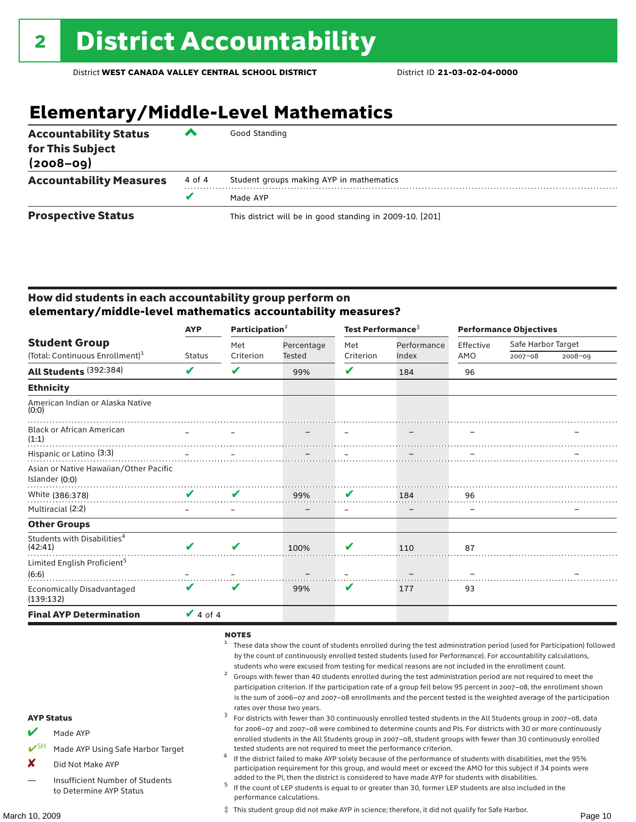# **Elementary/Middle-Level Mathematics**

| <b>Accountability Status</b><br>for This Subject<br>$(2008 - 09)$ | ▰      | Good Standing                                            |
|-------------------------------------------------------------------|--------|----------------------------------------------------------|
| <b>Accountability Measures</b>                                    | 4 of 4 | Student groups making AYP in mathematics                 |
|                                                                   |        | Made AYP                                                 |
| <b>Prospective Status</b>                                         |        | This district will be in good standing in 2009-10. [201] |

### How did students in each accountability group perform on **elementary/middle-level mathematics accountability measures?**

|                                                    | <b>AYP</b>    | Participation $2$ |            | Test Performance <sup>3</sup> |                   | <b>Performance Objectives</b> |                    |             |
|----------------------------------------------------|---------------|-------------------|------------|-------------------------------|-------------------|-------------------------------|--------------------|-------------|
| <b>Student Group</b>                               |               | Met               | Percentage | Met                           | Performance       | Effective                     | Safe Harbor Target |             |
| (Total: Continuous Enrollment) <sup>1</sup>        | <b>Status</b> | Criterion         | Tested     | Criterion                     | Index             | AMO                           | $2007 - 08$        | $2008 - 09$ |
| All Students (392:384)                             | V             | ✔                 | 99%        | V                             | 184               | 96                            |                    |             |
| <b>Ethnicity</b>                                   |               |                   |            |                               |                   |                               |                    |             |
| American Indian or Alaska Native<br>(0:0)          |               |                   |            |                               |                   |                               |                    |             |
| <b>Black or African American</b><br>(1:1)          |               |                   |            |                               |                   |                               |                    |             |
| Hispanic or Latino (3:3)                           |               |                   |            |                               |                   |                               |                    |             |
| Asian or Native Hawaiian/Other Pacific             |               |                   |            |                               |                   |                               |                    |             |
| Islander (0:0)                                     |               |                   |            |                               |                   |                               |                    |             |
| White (386:378)                                    | V             | V                 | 99%        | V                             | 184               | 96                            |                    |             |
| Multiracial (2:2)                                  |               |                   |            | $\overline{\phantom{0}}$      | $\qquad \qquad -$ | $\overline{\phantom{m}}$      |                    |             |
| <b>Other Groups</b>                                |               |                   |            |                               |                   |                               |                    |             |
| Students with Disabilities <sup>4</sup><br>(42:41) | V             | ✔                 | 100%       | V                             | 110               | 87                            |                    |             |
| Limited English Proficient <sup>5</sup><br>(6:6)   |               |                   |            |                               |                   |                               |                    |             |
| <b>Economically Disadvantaged</b><br>(139:132)     | ✔             | V                 | 99%        | V                             | 177               | 93                            |                    |             |
| <b>Final AYP Determination</b>                     | $\vee$ 4 of 4 |                   |            |                               |                   |                               |                    |             |

### NOTES

- <sup>1</sup> These data show the count of students enrolled during the test administration period (used for Participation) followed by the count of continuously enrolled tested students (used for Performance). For accountability calculations,
- students who were excused from testing for medical reasons are not included in the enrollment count.<br><sup>2</sup> Groups with fewer than 40 students enrolled during the test administration period are not required to meet the participation criterion. If the participation rate of a group fell below 95 percent in 2007–08, the enrollment shown is the sum of 2006–07 and 2007–08 enrollments and the percent tested is the weighted average of the participation
- rates over those two years.<br><sup>3</sup> For districts with fewer than 30 continuously enrolled tested students in the All Students group in 2007–08, data for 2006–07 and 2007–08 were combined to determine counts and PIs. For districts with 30 or more continuously enrolled students in the All Students group in 2007–08, student groups with fewer than 30 continuously enrolled
- tested students are not required to meet the performance criterion. <sup>4</sup> If the district failed to make AYP solely because of the performance of students with disabilities, met the 95% participation requirement for this group, and would meet or exceed the AMO for this subject if 34 points were
- added to the PI, then the district is considered to have made AYP for students with disabilities.<br> $5$  If the count of LEP students is equal to or greater than 30, former LEP students are also included in the performance calculations.

‡ This student group did not make AYP in science; therefore, it did not qualify for Safe Harbor.

### AYP Status

- Made AYP
- Made AYP Using Safe Harbor Target
- X Did Not Make AYP
- Insufficient Number of Students to Determine AYP Status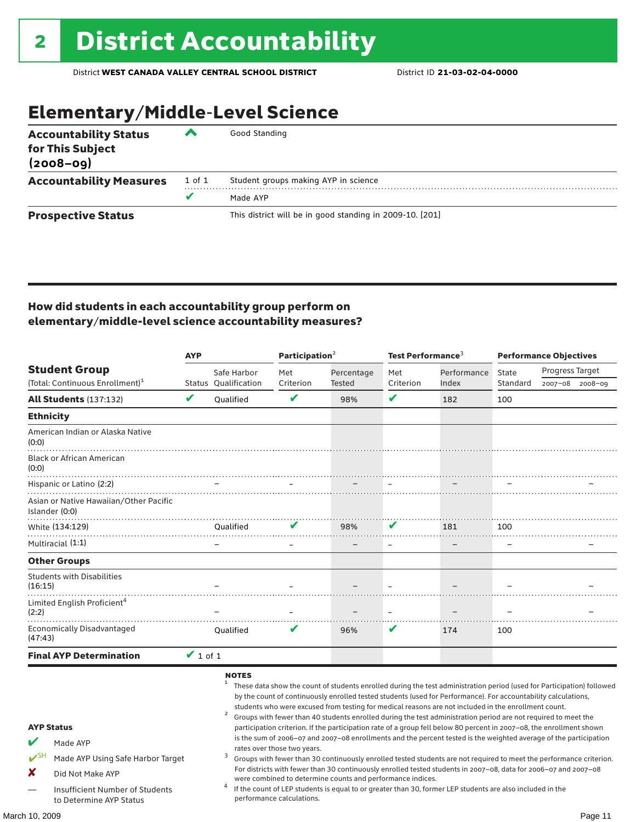# Elementary/Middle-Level Science

| <b>Accountability Status</b><br>for This Subject<br>$(2008 - 09)$ | ◚      | Good Standing                                            |
|-------------------------------------------------------------------|--------|----------------------------------------------------------|
| <b>Accountability Measures</b>                                    | 1 of 1 | Student groups making AYP in science                     |
|                                                                   | v      | Made AYP                                                 |
| <b>Prospective Status</b>                                         |        | This district will be in good standing in 2009-10. [201] |

### How did students in each accountability group perform on elementary/middle-level science accountability measures?

|                                                                                                                                                                                   |               | <b>AYP</b>           |                                                          | Participation <sup>2</sup>                                 | Test Performance $^3$ |                                                                                                                                                                                                                                                                                                                                                                                                                                                                                                                                                                                                                                                                                                                                                                                                                                                                                                                                                                                                                                                                        | <b>Performance Objectives</b> |                        |  |
|-----------------------------------------------------------------------------------------------------------------------------------------------------------------------------------|---------------|----------------------|----------------------------------------------------------|------------------------------------------------------------|-----------------------|------------------------------------------------------------------------------------------------------------------------------------------------------------------------------------------------------------------------------------------------------------------------------------------------------------------------------------------------------------------------------------------------------------------------------------------------------------------------------------------------------------------------------------------------------------------------------------------------------------------------------------------------------------------------------------------------------------------------------------------------------------------------------------------------------------------------------------------------------------------------------------------------------------------------------------------------------------------------------------------------------------------------------------------------------------------------|-------------------------------|------------------------|--|
| <b>Student Group</b>                                                                                                                                                              |               | Safe Harbor          | Met                                                      | Percentage                                                 | Met                   | Performance                                                                                                                                                                                                                                                                                                                                                                                                                                                                                                                                                                                                                                                                                                                                                                                                                                                                                                                                                                                                                                                            | State                         | <b>Progress Target</b> |  |
| (Total: Continuous Enrollment) <sup>1</sup>                                                                                                                                       |               | Status Oualification | Criterion                                                | <b>Tested</b>                                              | Criterion             | Index                                                                                                                                                                                                                                                                                                                                                                                                                                                                                                                                                                                                                                                                                                                                                                                                                                                                                                                                                                                                                                                                  | Standard                      | 2007-08 2008-09        |  |
| <b>All Students (137:132)</b>                                                                                                                                                     | V             | <b>Oualified</b>     | V                                                        | 98%                                                        | V                     | 182                                                                                                                                                                                                                                                                                                                                                                                                                                                                                                                                                                                                                                                                                                                                                                                                                                                                                                                                                                                                                                                                    | 100                           |                        |  |
| <b>Ethnicity</b>                                                                                                                                                                  |               |                      |                                                          |                                                            |                       |                                                                                                                                                                                                                                                                                                                                                                                                                                                                                                                                                                                                                                                                                                                                                                                                                                                                                                                                                                                                                                                                        |                               |                        |  |
| American Indian or Alaska Native<br>(0:0)                                                                                                                                         |               |                      |                                                          |                                                            |                       |                                                                                                                                                                                                                                                                                                                                                                                                                                                                                                                                                                                                                                                                                                                                                                                                                                                                                                                                                                                                                                                                        |                               |                        |  |
| <b>Black or African American</b><br>(0:0)                                                                                                                                         |               |                      |                                                          |                                                            |                       |                                                                                                                                                                                                                                                                                                                                                                                                                                                                                                                                                                                                                                                                                                                                                                                                                                                                                                                                                                                                                                                                        |                               |                        |  |
| Hispanic or Latino (2:2)                                                                                                                                                          |               |                      |                                                          |                                                            |                       |                                                                                                                                                                                                                                                                                                                                                                                                                                                                                                                                                                                                                                                                                                                                                                                                                                                                                                                                                                                                                                                                        |                               |                        |  |
| Asian or Native Hawaiian/Other Pacific<br>Islander (0:0)                                                                                                                          |               |                      |                                                          |                                                            |                       |                                                                                                                                                                                                                                                                                                                                                                                                                                                                                                                                                                                                                                                                                                                                                                                                                                                                                                                                                                                                                                                                        |                               |                        |  |
| White (134:129)                                                                                                                                                                   |               | Oualified            | V                                                        | 98%                                                        | V                     | 181                                                                                                                                                                                                                                                                                                                                                                                                                                                                                                                                                                                                                                                                                                                                                                                                                                                                                                                                                                                                                                                                    | 100                           |                        |  |
| Multiracial (1:1)                                                                                                                                                                 |               |                      |                                                          |                                                            |                       |                                                                                                                                                                                                                                                                                                                                                                                                                                                                                                                                                                                                                                                                                                                                                                                                                                                                                                                                                                                                                                                                        |                               |                        |  |
| <b>Other Groups</b>                                                                                                                                                               |               |                      |                                                          |                                                            |                       |                                                                                                                                                                                                                                                                                                                                                                                                                                                                                                                                                                                                                                                                                                                                                                                                                                                                                                                                                                                                                                                                        |                               |                        |  |
| <b>Students with Disabilities</b><br>(16:15)                                                                                                                                      |               |                      |                                                          |                                                            |                       |                                                                                                                                                                                                                                                                                                                                                                                                                                                                                                                                                                                                                                                                                                                                                                                                                                                                                                                                                                                                                                                                        |                               |                        |  |
| Limited English Proficient <sup>4</sup><br>(2:2)                                                                                                                                  |               |                      |                                                          |                                                            |                       |                                                                                                                                                                                                                                                                                                                                                                                                                                                                                                                                                                                                                                                                                                                                                                                                                                                                                                                                                                                                                                                                        |                               |                        |  |
| <b>Economically Disadvantaged</b><br>(47:43)                                                                                                                                      |               | Qualified            |                                                          | 96%                                                        | v                     | 174                                                                                                                                                                                                                                                                                                                                                                                                                                                                                                                                                                                                                                                                                                                                                                                                                                                                                                                                                                                                                                                                    | 100                           |                        |  |
| <b>Final AYP Determination</b>                                                                                                                                                    | $\vee$ 1 of 1 |                      |                                                          |                                                            |                       |                                                                                                                                                                                                                                                                                                                                                                                                                                                                                                                                                                                                                                                                                                                                                                                                                                                                                                                                                                                                                                                                        |                               |                        |  |
| <b>AYP Status</b><br>V<br>Made AYP<br>$V^{\text{SH}}$<br>Made AYP Using Safe Harbor Target<br>X<br>Did Not Make AYP<br>Insufficient Number of Students<br>to Determine AYP Status |               | <b>NOTES</b><br>3    | rates over those two years.<br>performance calculations. | were combined to determine counts and performance indices. |                       | These data show the count of students enrolled during the test administration period (used for Participation) followed<br>by the count of continuously enrolled tested students (used for Performance). For accountability calculations,<br>students who were excused from testing for medical reasons are not included in the enrollment count.<br>Groups with fewer than 40 students enrolled during the test administration period are not required to meet the<br>participation criterion. If the participation rate of a group fell below 80 percent in 2007-08, the enrollment shown<br>is the sum of 2006-07 and 2007-08 enrollments and the percent tested is the weighted average of the participation<br>Groups with fewer than 30 continuously enrolled tested students are not required to meet the performance criterion.<br>For districts with fewer than 30 continuously enrolled tested students in 2007-08, data for 2006-07 and 2007-08<br>If the count of LEP students is equal to or greater than 30, former LEP students are also included in the |                               |                        |  |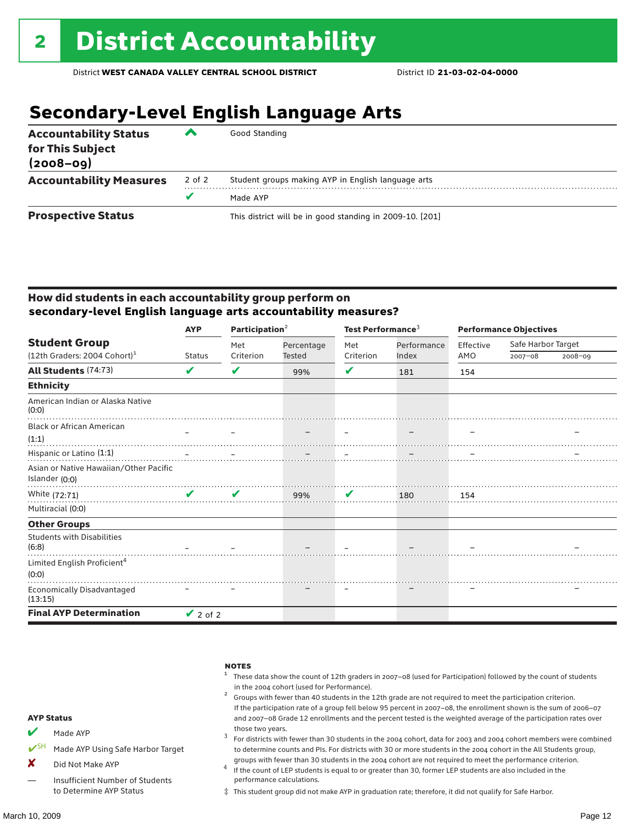# **Secondary-Level English Language Arts**

| <b>Accountability Status</b><br>for This Subject<br>$(2008 - 09)$ | ▰      | Good Standing                                            |
|-------------------------------------------------------------------|--------|----------------------------------------------------------|
| <b>Accountability Measures</b>                                    | 2 of 2 | Student groups making AYP in English language arts       |
|                                                                   | v      | Made AYP                                                 |
| <b>Prospective Status</b>                                         |        | This district will be in good standing in 2009-10. [201] |

### How did students in each accountability group perform on **secondary-level English language arts accountability measures?**

|                                            | <b>AYP</b>    |              | Participation <sup>2</sup> |              | Test Performance <sup>3</sup> |           | <b>Performance Objectives</b> |             |  |
|--------------------------------------------|---------------|--------------|----------------------------|--------------|-------------------------------|-----------|-------------------------------|-------------|--|
| <b>Student Group</b>                       |               | Met          | Percentage                 | Met          | Performance                   | Effective | Safe Harbor Target            |             |  |
| $(12th$ Graders: 2004 Cohort) <sup>1</sup> | <b>Status</b> | Criterion    | Tested                     | Criterion    | Index                         | AMO       | $2007 - 08$                   | $2008 - 09$ |  |
| All Students (74:73)                       | V             | V            | 99%                        | ✔            | 181                           | 154       |                               |             |  |
| <b>Ethnicity</b>                           |               |              |                            |              |                               |           |                               |             |  |
| American Indian or Alaska Native<br>(0:0)  |               |              |                            |              |                               |           |                               |             |  |
| <b>Black or African American</b>           |               |              |                            |              |                               |           |                               |             |  |
| (1:1)                                      |               |              |                            |              |                               |           |                               |             |  |
| Hispanic or Latino (1:1)                   |               |              |                            |              |                               |           |                               |             |  |
| Asian or Native Hawaiian/Other Pacific     |               |              |                            |              |                               |           |                               |             |  |
| Islander (0:0)                             |               |              |                            |              |                               |           |                               |             |  |
| White (72:71)                              | $\mathbf{v}$  | $\checkmark$ | 99%                        | $\mathbf{v}$ | 180                           | 154       |                               |             |  |
| Multiracial (0:0)                          |               |              |                            |              |                               |           |                               |             |  |
| <b>Other Groups</b>                        |               |              |                            |              |                               |           |                               |             |  |
| <b>Students with Disabilities</b><br>(6:8) |               |              |                            |              |                               |           |                               |             |  |
| Limited English Proficient <sup>4</sup>    |               |              |                            |              |                               |           |                               |             |  |
| (0:0)                                      |               |              |                            |              |                               |           |                               |             |  |
| Economically Disadvantaged<br>(13:15)      |               |              |                            |              |                               |           |                               |             |  |
| <b>Final AYP Determination</b>             | $\vee$ 2 of 2 |              |                            |              |                               |           |                               |             |  |

| <b>AYP Status</b>       |                                   | <b>NOTES</b><br>These data show the count of 12th graders in 2007-08 (used for Participation) followed by the count of students<br>in the 2004 cohort (used for Performance).<br>Groups with fewer than 40 students in the 12th grade are not required to meet the participation criterion.<br>If the participation rate of a group fell below 95 percent in 2007-08, the enrollment shown is the sum of 2006-07<br>and 2007-08 Grade 12 enrollments and the percent tested is the weighted average of the participation rates over |
|-------------------------|-----------------------------------|-------------------------------------------------------------------------------------------------------------------------------------------------------------------------------------------------------------------------------------------------------------------------------------------------------------------------------------------------------------------------------------------------------------------------------------------------------------------------------------------------------------------------------------|
| $\overline{\mathbf{v}}$ | Made AYP                          | those two years.<br>For districts with fewer than 30 students in the 2004 cohort, data for 2003 and 2004 cohort members were combined                                                                                                                                                                                                                                                                                                                                                                                               |
|                         | Made AYP Using Safe Harbor Target | to determine counts and PIs. For districts with 30 or more students in the 2004 cohort in the All Students group,                                                                                                                                                                                                                                                                                                                                                                                                                   |
| x                       | Did Not Make AYP                  | groups with fewer than 30 students in the 2004 cohort are not required to meet the performance criterion.<br>If the count of LEP students is equal to or greater than 30, former LEP students are also included in the                                                                                                                                                                                                                                                                                                              |
|                         | Insufficient Number of Students   | performance calculations.                                                                                                                                                                                                                                                                                                                                                                                                                                                                                                           |

‡ This student group did not make AYP in graduation rate; therefore, it did not qualify for Safe Harbor.

to Determine AYP Status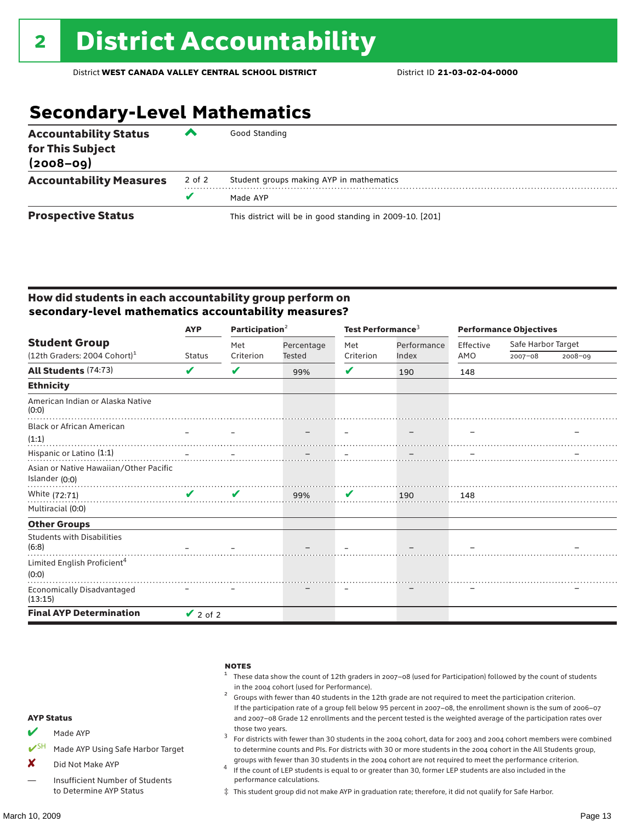# **Secondary-Level Mathematics**

| <b>Accountability Status</b><br>for This Subject<br>$(2008 - 09)$ | ▰      | Good Standing                                            |
|-------------------------------------------------------------------|--------|----------------------------------------------------------|
| <b>Accountability Measures</b>                                    | 2 of 2 | Student groups making AYP in mathematics                 |
|                                                                   | v      | Made AYP                                                 |
| <b>Prospective Status</b>                                         |        | This district will be in good standing in 2009-10. [201] |

### How did students in each accountability group perform on **secondary-level mathematics accountability measures?**

| <b>AYP</b>                                 |                               | Participation <sup>2</sup> |            | Test Performance <sup>3</sup> |             | <b>Performance Objectives</b> |                    |             |
|--------------------------------------------|-------------------------------|----------------------------|------------|-------------------------------|-------------|-------------------------------|--------------------|-------------|
| <b>Student Group</b>                       |                               | Met                        | Percentage | Met                           | Performance | Effective                     | Safe Harbor Target |             |
| (12th Graders: 2004 Cohort) <sup>1</sup>   | <b>Status</b>                 | Criterion                  | Tested     | Criterion                     | Index       | AMO                           | 2007-08            | $2008 - 09$ |
| All Students (74:73)                       | V                             | V                          | 99%        | V                             | 190         | 148                           |                    |             |
| <b>Ethnicity</b>                           |                               |                            |            |                               |             |                               |                    |             |
| American Indian or Alaska Native<br>(0:0)  |                               |                            |            |                               |             |                               |                    |             |
| <b>Black or African American</b>           |                               |                            |            |                               |             |                               |                    |             |
| (1:1)                                      |                               |                            |            |                               |             |                               |                    |             |
| Hispanic or Latino (1:1)                   |                               |                            |            |                               |             |                               |                    |             |
| Asian or Native Hawaiian/Other Pacific     |                               |                            |            |                               |             |                               |                    |             |
| Islander (0:0)                             |                               |                            |            |                               |             |                               |                    |             |
| White (72:71)                              | $\mathbf{v}$ and $\mathbf{v}$ | V                          | 99%        | $\mathbf{v}$                  | 190         | 148                           |                    |             |
| Multiracial (0:0)                          |                               |                            |            |                               |             |                               |                    |             |
| <b>Other Groups</b>                        |                               |                            |            |                               |             |                               |                    |             |
| <b>Students with Disabilities</b><br>(6:8) |                               |                            |            |                               |             |                               |                    |             |
| Limited English Proficient <sup>4</sup>    |                               |                            |            |                               |             |                               |                    |             |
| (0:0)                                      |                               |                            |            |                               |             |                               |                    |             |
| Economically Disadvantaged<br>(13:15)      |                               |                            |            |                               |             |                               |                    |             |
| <b>Final AYP Determination</b>             | $\vee$ 2 of 2                 |                            |            |                               |             |                               |                    |             |

|                              | <b>AYP Status</b>                 | <b>NOTES</b><br>These data show the count of 12th graders in 2007-08 (used for Participation) followed by the count of students<br>in the 2004 cohort (used for Performance).<br>Groups with fewer than 40 students in the 12th grade are not required to meet the participation criterion.<br>If the participation rate of a group fell below 95 percent in 2007-08, the enrollment shown is the sum of 2006-07<br>and 2007-08 Grade 12 enrollments and the percent tested is the weighted average of the participation rates over |
|------------------------------|-----------------------------------|-------------------------------------------------------------------------------------------------------------------------------------------------------------------------------------------------------------------------------------------------------------------------------------------------------------------------------------------------------------------------------------------------------------------------------------------------------------------------------------------------------------------------------------|
| v                            |                                   | those two years.                                                                                                                                                                                                                                                                                                                                                                                                                                                                                                                    |
|                              | Made AYP                          | For districts with fewer than 30 students in the 2004 cohort, data for 2003 and 2004 cohort members were combined                                                                                                                                                                                                                                                                                                                                                                                                                   |
| $\boldsymbol{V}^{\text{SH}}$ | Made AYP Using Safe Harbor Target | to determine counts and PIs. For districts with 30 or more students in the 2004 cohort in the All Students group,                                                                                                                                                                                                                                                                                                                                                                                                                   |
| X                            | Did Not Make AYP                  | groups with fewer than 30 students in the 2004 cohort are not required to meet the performance criterion.<br>If the count of LEP students is equal to or greater than 30, former LEP students are also included in the                                                                                                                                                                                                                                                                                                              |
|                              | Insufficient Number of Students   | performance calculations.                                                                                                                                                                                                                                                                                                                                                                                                                                                                                                           |

‡ This student group did not make AYP in graduation rate; therefore, it did not qualify for Safe Harbor.

to Determine AYP Status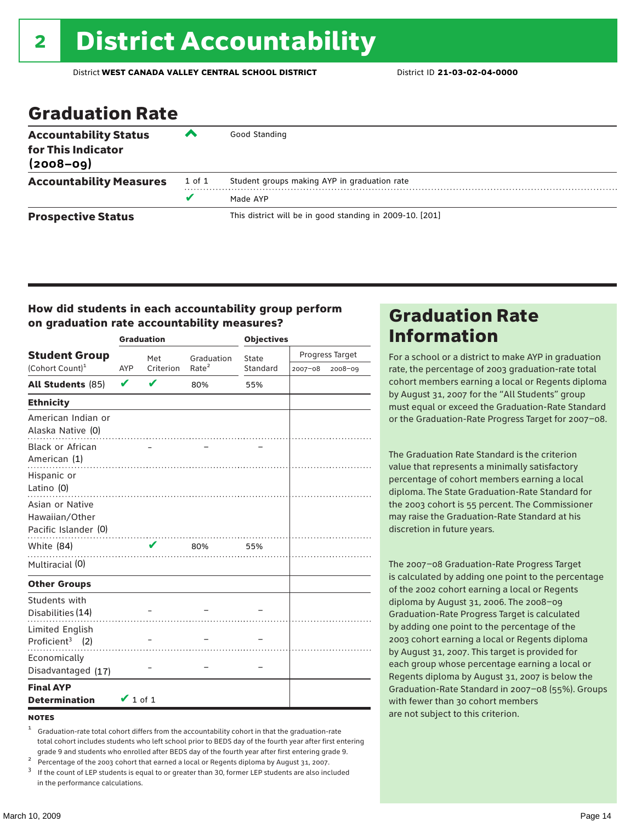### Graduation Rate

| <b>Accountability Status</b><br>for This Indicator<br>$(2008 - 09)$ | ▰      | Good Standing                                            |  |  |  |  |
|---------------------------------------------------------------------|--------|----------------------------------------------------------|--|--|--|--|
| <b>Accountability Measures</b>                                      | 1 of 1 | Student groups making AYP in graduation rate             |  |  |  |  |
|                                                                     | v      | Made AYP                                                 |  |  |  |  |
| <b>Prospective Status</b>                                           |        | This district will be in good standing in 2009-10. [201] |  |  |  |  |

### How did students in each accountability group perform on graduation rate accountability measures?

|                                                               | <b>Graduation</b>          |              |                   | <b>Objectives</b> |                 |         |  |
|---------------------------------------------------------------|----------------------------|--------------|-------------------|-------------------|-----------------|---------|--|
| <b>Student Group</b>                                          |                            | Met          | Graduation        | State             | Progress Target |         |  |
| (Cohort Count) <sup>1</sup>                                   | AYP                        | Criterion    | Rate <sup>2</sup> | Standard          | 2007-08         | 2008-09 |  |
| <b>All Students (85)</b>                                      | $\boldsymbol{\mathcal{U}}$ | $\mathbf{v}$ | 80%               | 55%               |                 |         |  |
| <b>Ethnicity</b>                                              |                            |              |                   |                   |                 |         |  |
| American Indian or<br>Alaska Native (0)                       |                            |              |                   |                   |                 |         |  |
| Black or African<br>American (1)<br>Hispanic or<br>Latino (0) |                            |              |                   |                   |                 |         |  |
| Asian or Native<br>Hawaiian/Other<br>Pacific Islander (0)     |                            |              |                   |                   |                 |         |  |
| White (84)                                                    |                            | V            | 80%               | 55%               |                 |         |  |
| Multiracial (0)                                               |                            |              |                   |                   |                 |         |  |
| <b>Other Groups</b>                                           |                            |              |                   |                   |                 |         |  |
| Students with<br>Disabilities (14)                            |                            |              |                   |                   |                 |         |  |
| Limited English<br>Proficient <sup>3</sup> $(2)$              |                            |              |                   |                   |                 |         |  |
| Economically<br>Disadvantaged (17)                            |                            |              |                   |                   |                 |         |  |
| <b>Final AYP</b><br><b>Determination</b>                      | $\vee$ 1 of 1              |              |                   |                   |                 |         |  |

#### **NOTES**

- <sup>1</sup> Graduation-rate total cohort differs from the accountability cohort in that the graduation-rate total cohort includes students who left school prior to BEDS day of the fourth year after first entering
- 
- grade 9 and students who enrolled after BEDS day of the fourth year after first entering grade 9.<br>
<sup>2</sup> Percentage of the 2003 cohort that earned a local or Regents diploma by August 31, 2007.<br>
<sup>3</sup> If the count of LEP stud in the performance calculations.

### Graduation Rate Information

For a school or a district to make AYP in graduation rate, the percentage of 2003 graduation-rate total cohort members earning a local or Regents diploma by August 31, 2007 for the "All Students" group must equal or exceed the Graduation-Rate Standard or the Graduation-Rate Progress Target for 2007–08.

The Graduation Rate Standard is the criterion value that represents a minimally satisfactory percentage of cohort members earning a local diploma. The State Graduation-Rate Standard for the 2003 cohort is 55 percent. The Commissioner may raise the Graduation-Rate Standard at his discretion in future years.

The 2007–08 Graduation-Rate Progress Target is calculated by adding one point to the percentage of the 2002 cohort earning a local or Regents diploma by August 31, 2006. The 2008–09 Graduation-Rate Progress Target is calculated by adding one point to the percentage of the 2003 cohort earning a local or Regents diploma by August 31, 2007. This target is provided for each group whose percentage earning a local or Regents diploma by August 31, 2007 is below the Graduation-Rate Standard in 2007–08 (55%). Groups with fewer than 30 cohort members are not subject to this criterion.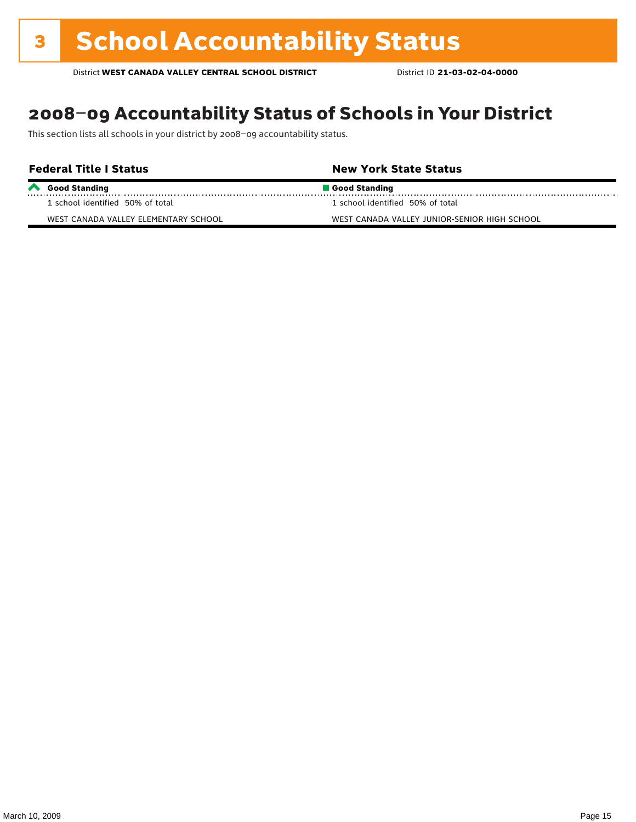## 2008–09 Accountability Status of Schools in Your District

This section lists all schools in your district by 2008–09 accountability status.

| <b>Federal Title I Status</b>        | <b>New York State Status</b>                 |  |  |  |  |  |
|--------------------------------------|----------------------------------------------|--|--|--|--|--|
| Good Standing                        | Good Standing                                |  |  |  |  |  |
| 1 school identified 50% of total     | 1 school identified 50% of total             |  |  |  |  |  |
| WEST CANADA VALLEY ELEMENTARY SCHOOL | WEST CANADA VALLEY JUNIOR-SENIOR HIGH SCHOOL |  |  |  |  |  |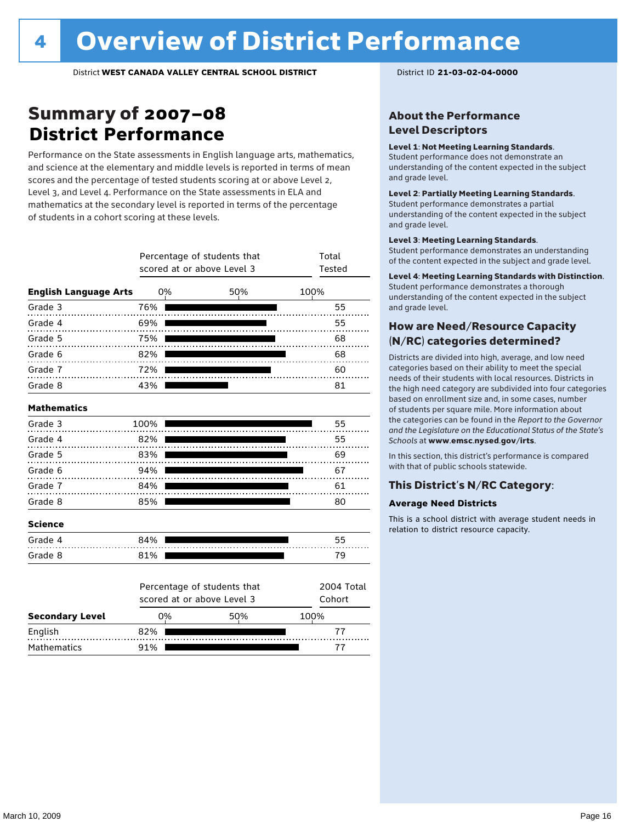### Summary of 2007–08 **District Performance**

Performance on the State assessments in English language arts, mathematics, and science at the elementary and middle levels is reported in terms of mean scores and the percentage of tested students scoring at or above Level 2, Level 3, and Level 4. Performance on the State assessments in ELA and mathematics at the secondary level is reported in terms of the percentage of students in a cohort scoring at these levels.

|                              |           | Percentage of students that<br>scored at or above Level 3 | Total<br>Tested      |      |
|------------------------------|-----------|-----------------------------------------------------------|----------------------|------|
| <b>English Language Arts</b> | 0%        |                                                           | 50%                  | 100% |
| Grade 3                      | 76%       |                                                           |                      | 55   |
| Grade 4                      | 69%       |                                                           |                      | 55   |
| Grade 5                      | 75%       |                                                           |                      | 68   |
| Grade 6                      | 82%       |                                                           |                      | 68   |
| Grade 7                      | 72%       |                                                           |                      | 60   |
| Grade 8                      | 43%       |                                                           |                      | 81   |
| <b>Mathematics</b>           |           |                                                           |                      |      |
| Grade 3                      | 100%      |                                                           |                      | 55   |
| Grade 4                      | 82%       |                                                           |                      | 55   |
| Grade 5                      | 83%       |                                                           |                      | 69   |
| Grade 6                      | 94%       |                                                           |                      | 67   |
| Grade 7                      | 84%       |                                                           |                      | 61   |
| Grade 8                      | 85%       |                                                           |                      | 80   |
| <b>Science</b>               |           |                                                           |                      |      |
| Grade 4                      | 84%       |                                                           |                      | 55   |
| Grade 8                      | 81%       |                                                           |                      | 79   |
|                              |           | Percentage of students that<br>scored at or above Level 3 | 2004 Total<br>Cohort |      |
| <b>Secondary Level</b>       | 0%<br>50% |                                                           | 100%                 |      |
| English                      | 82%       |                                                           |                      | 77   |

Mathematics 91% 91% 77

### About the Performance Level Descriptors

#### Level 1: Not Meeting Learning Standards.

Student performance does not demonstrate an understanding of the content expected in the subject and grade level.

#### Level 2: Partially Meeting Learning Standards.

Student performance demonstrates a partial understanding of the content expected in the subject and grade level.

#### Level 3: Meeting Learning Standards.

Student performance demonstrates an understanding of the content expected in the subject and grade level.

#### Level 4: Meeting Learning Standards with Distinction.

Student performance demonstrates a thorough understanding of the content expected in the subject and grade level.

### How are Need/Resource Capacity (N/RC) categories determined?

Districts are divided into high, average, and low need categories based on their ability to meet the special needs of their students with local resources. Districts in the high need category are subdivided into four categories based on enrollment size and, in some cases, number of students per square mile. More information about the categories can be found in the *Report to the Governor and the Legislature on the Educational Status of the State's Schools* at www.emsc.nysed.gov/irts.

In this section, this district's performance is compared with that of public schools statewide.

#### This District's N/RC Category:

#### **Average Need Districts**

This is a school district with average student needs in relation to district resource capacity.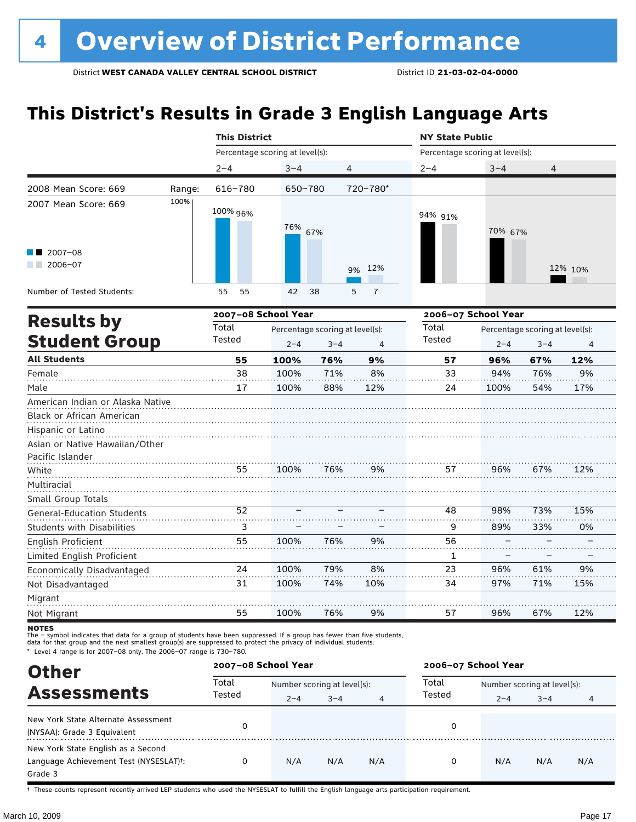# **This District's Results in Grade 3 English Language Arts**

|                                       |        | <b>This District</b> |                                 |         |                     | <b>NY State Public</b>          |         |         |                |  |
|---------------------------------------|--------|----------------------|---------------------------------|---------|---------------------|---------------------------------|---------|---------|----------------|--|
|                                       |        |                      | Percentage scoring at level(s): |         |                     | Percentage scoring at level(s): |         |         |                |  |
|                                       |        | $2 - 4$              | $3 - 4$                         | 4       |                     | $2 - 4$                         | $3 - 4$ | 4       |                |  |
| 2008 Mean Score: 669                  | Range: | 616-780              | 650-780                         |         | 720-780*            |                                 |         |         |                |  |
| 2007 Mean Score: 669                  | 100%   | 100% 96%             | 76%                             | 67%     |                     | 94% 91%                         | 70% 67% |         |                |  |
| 2007-08<br>2006-07<br><b>Contract</b> |        |                      |                                 |         | 12%<br>9%           |                                 |         |         | 12% 10%        |  |
| Number of Tested Students:            |        | 55<br>55             | 42                              | 38      | $\overline{7}$<br>5 |                                 |         |         |                |  |
|                                       |        | 2007-08 School Year  |                                 |         |                     | 2006-07 School Year             |         |         |                |  |
| <b>Results by</b>                     | Total  |                      | Percentage scoring at level(s): |         | Total               | Percentage scoring at level(s): |         |         |                |  |
| <b>Student Group</b>                  |        | Tested               | $2 - 4$                         | $3 - 4$ | $\overline{4}$      | Tested                          | $2 - 4$ | $3 - 4$ | $\overline{4}$ |  |
| <b>All Students</b>                   |        | 55                   | 100%                            | 76%     | 9%                  | 57                              | 96%     | 67%     | 12%            |  |
| Female                                |        | 38                   | 100%                            | 71%     | 8%                  | 33                              | 94%     | 76%     | 9%             |  |
| Male                                  |        | 17                   | 100%                            | 88%     | 12%                 | 24                              | 100%    | 54%     | 17%            |  |
| American Indian or Alaska Native      |        |                      |                                 |         |                     |                                 |         |         |                |  |
| Black or African American             |        |                      |                                 |         |                     |                                 |         |         |                |  |
| Hispanic or Latino                    |        |                      |                                 |         |                     |                                 |         |         |                |  |
| Asian or Native Hawaiian/Other        |        |                      |                                 |         |                     |                                 |         |         |                |  |
| Pacific Islander                      |        |                      |                                 |         |                     |                                 |         |         |                |  |
| White                                 |        | 55                   | 100%                            | 76%     | 9%                  | 57                              | 96%     | 67%     | 12%            |  |
| Multiracial                           |        |                      |                                 |         |                     |                                 |         |         |                |  |
| Small Group Totals                    |        |                      |                                 |         |                     |                                 |         |         |                |  |
| <b>General-Education Students</b>     |        | 52                   |                                 |         |                     | 48                              | 98%     | 73%     | 15%            |  |
| <b>Students with Disabilities</b>     |        | 3                    |                                 |         |                     | 9                               | 89%     | 33%     | 0%             |  |
| English Proficient                    |        | 55                   | 100%                            | 76%     | 9%                  | 56                              |         |         |                |  |
| Limited English Proficient            |        |                      |                                 |         |                     | 1                               |         |         |                |  |
| Economically Disadvantaged            |        | 24                   | 100%                            | 79%     | 8%                  | 23                              | 96%     | 61%     | 9%             |  |
| Not Disadvantaged                     |        | 31                   | 100%                            | 74%     | 10%                 | 34                              | 97%     | 71%     | 15%            |  |
| Migrant                               |        |                      |                                 |         |                     |                                 |         |         |                |  |
| Not Migrant                           |        | 55                   | 100%                            | 76%     | 9%                  | 57                              | 96%     | 67%     | 12%            |  |

**NOTES** 

The – symbol indicates that data for a group of students have been suppressed. If a group has fewer than five students,<br>data for that group and the next smallest group(s) are suppressed to protect the privacy of individual

\* Level 4 range is for 2007–08 only. The 2006–07 range is 730–780.

| <b>Other</b>                                                                                         | 2007-08 School Year |         |                             |                | 2006-07 School Year |                             |         |     |  |
|------------------------------------------------------------------------------------------------------|---------------------|---------|-----------------------------|----------------|---------------------|-----------------------------|---------|-----|--|
| <b>Assessments</b>                                                                                   | Total<br>Tested     |         | Number scoring at level(s): |                |                     | Number scoring at level(s): |         |     |  |
|                                                                                                      |                     | $2 - 4$ | $3 - 4$                     | $\overline{4}$ | Tested              | $2 - 4$                     | $3 - 4$ | 4   |  |
| New York State Alternate Assessment<br>(NYSAA): Grade 3 Equivalent                                   |                     |         |                             |                | 0                   |                             |         |     |  |
| New York State English as a Second<br>Language Achievement Test (NYSESLAT) <sup>+</sup> :<br>Grade 3 | 0                   | N/A     | N/A                         | N/A            | 0                   | N/A                         | N/A     | N/A |  |

† These counts represent recently arrived LEP students who used the NYSESLAT to fulfill the English language arts participation requirement.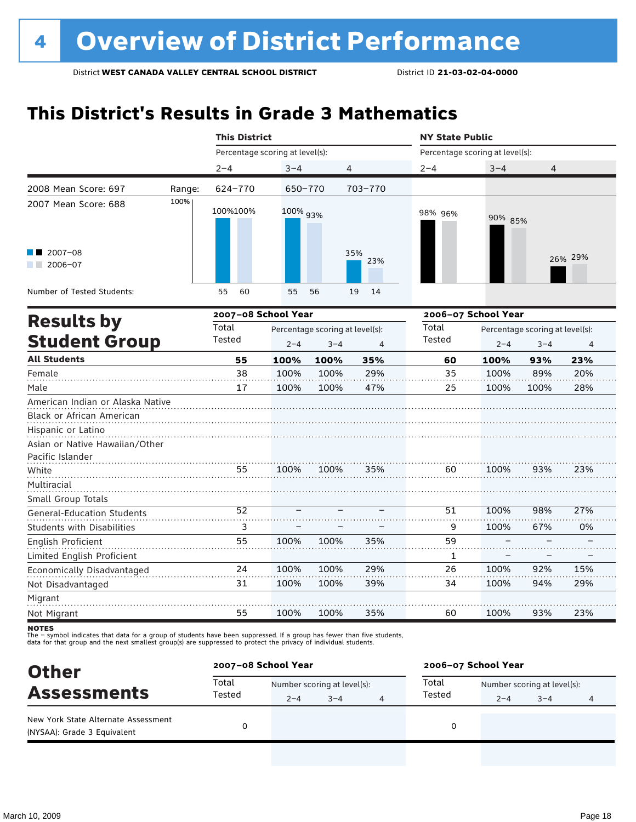## **This District's Results in Grade 3 Mathematics**

|                                   | <b>This District</b>            |          |                                 |                | <b>NY State Public</b>          |                                 |         |         |  |
|-----------------------------------|---------------------------------|----------|---------------------------------|----------------|---------------------------------|---------------------------------|---------|---------|--|
|                                   | Percentage scoring at level(s): |          |                                 |                | Percentage scoring at level(s): |                                 |         |         |  |
|                                   | $2 - 4$                         | $3 - 4$  | 4                               |                | $2 - 4$                         | $3 - 4$                         | 4       |         |  |
| 2008 Mean Score: 697<br>Range:    | 624-770                         | 650-770  |                                 | 703-770        |                                 |                                 |         |         |  |
| 100%<br>2007 Mean Score: 688      | 100%100%                        | 100% 93% |                                 |                | 98% 96%                         | 90% 85%                         |         |         |  |
| 2007-08<br>$2006 - 07$            |                                 |          |                                 | 35%<br>23%     |                                 |                                 |         | 26% 29% |  |
| Number of Tested Students:        | 60<br>55                        | 55       | 56                              | 14<br>19       |                                 |                                 |         |         |  |
| <b>Results by</b>                 | 2007-08 School Year             |          |                                 |                |                                 | 2006-07 School Year             |         |         |  |
|                                   | Total                           |          | Percentage scoring at level(s): |                | Total                           | Percentage scoring at level(s): |         |         |  |
| <b>Student Group</b>              | Tested                          | $2 - 4$  | $3 - 4$                         | $\overline{4}$ | Tested                          | $2 - 4$                         | $3 - 4$ | 4       |  |
| <b>All Students</b>               | 55                              | 100%     | 100%                            | 35%            | 60                              | 100%                            | 93%     | 23%     |  |
| Female                            | 38                              | 100%     | 100%                            | 29%            | 35                              | 100%                            | 89%     | 20%     |  |
| Male                              | 17                              | 100%     | 100%                            | 47%            | 25                              | 100%                            | 100%    | 28%     |  |
| American Indian or Alaska Native  |                                 |          |                                 |                |                                 |                                 |         |         |  |
| Black or African American         |                                 |          |                                 |                |                                 |                                 |         |         |  |
| Hispanic or Latino                |                                 |          |                                 |                |                                 |                                 |         |         |  |
| Asian or Native Hawaiian/Other    |                                 |          |                                 |                |                                 |                                 |         |         |  |
| Pacific Islander                  |                                 |          |                                 |                |                                 |                                 |         |         |  |
| White                             | 55                              | 100%     | 100%                            | 35%            | 60                              | 100%                            | 93%     | 23%     |  |
| Multiracial                       |                                 |          |                                 |                |                                 |                                 |         |         |  |
| Small Group Totals                |                                 |          |                                 |                |                                 |                                 |         |         |  |
| <b>General-Education Students</b> | 52                              |          |                                 |                | 51                              | 100%                            | 98%     | 27%     |  |
| <b>Students with Disabilities</b> | 3                               |          |                                 |                | 9                               | 100%                            | 67%     | 0%      |  |
| <b>English Proficient</b>         | 55                              | 100%     | 100%                            | 35%            | 59                              |                                 |         |         |  |
| Limited English Proficient        |                                 |          |                                 |                | 1                               |                                 |         |         |  |
| Economically Disadvantaged        | 24                              | 100%     | 100%                            | 29%            | 26                              | 100%                            | 92%     | 15%     |  |
| Not Disadvantaged                 | 31                              | 100%     | 100%                            | 39%            | 34                              | 100%                            | 94%     | 29%     |  |
| Migrant                           |                                 |          |                                 |                |                                 |                                 |         |         |  |
| Not Migrant                       | 55                              | 100%     | 100%                            | 35%            | 60                              | 100%                            | 93%     | 23%     |  |

**NOTES** 

| <b>Other</b>                                                       |                 | 2007-08 School Year |                             |   | 2006-07 School Year |                             |         |   |
|--------------------------------------------------------------------|-----------------|---------------------|-----------------------------|---|---------------------|-----------------------------|---------|---|
| <b>Assessments</b>                                                 | Total<br>Tested |                     | Number scoring at level(s): |   |                     | Number scoring at level(s): |         |   |
|                                                                    |                 | $2 - 4$             | $3 - 4$                     | 4 | Tested              | $2 - 4$                     | $3 - 4$ | 4 |
| New York State Alternate Assessment<br>(NYSAA): Grade 3 Equivalent |                 |                     |                             |   |                     |                             |         |   |
|                                                                    |                 |                     |                             |   |                     |                             |         |   |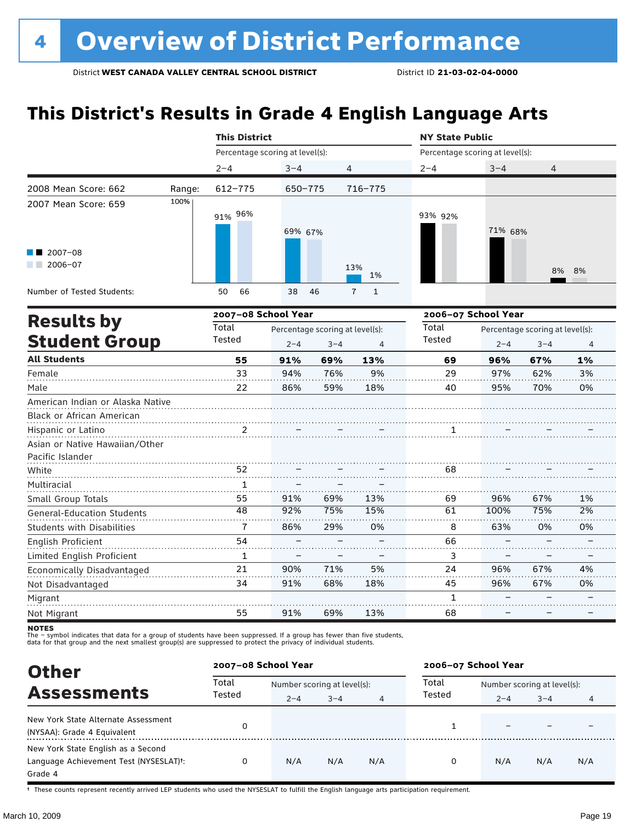# **This District's Results in Grade 4 English Language Arts**

|                                                                      |        | <b>This District</b>            |         |         |                                | <b>NY State Public</b>          |                                 |         |    |  |
|----------------------------------------------------------------------|--------|---------------------------------|---------|---------|--------------------------------|---------------------------------|---------------------------------|---------|----|--|
|                                                                      |        | Percentage scoring at level(s): |         |         |                                | Percentage scoring at level(s): |                                 |         |    |  |
|                                                                      |        | $2 - 4$                         | $3 - 4$ | 4       |                                | $2 - 4$                         | $3 - 4$                         | 4       |    |  |
| 2008 Mean Score: 662                                                 | Range: | 612-775                         | 650-775 |         | 716-775                        |                                 |                                 |         |    |  |
| 2007 Mean Score: 659                                                 | 100%   | 91% 96%                         | 69% 67% |         |                                | 93% 92%                         | 71% 68%                         |         |    |  |
| 2007-08<br>$2006 - 07$                                               |        |                                 |         |         | 13%<br>1%                      |                                 |                                 | 8%      | 8% |  |
| Number of Tested Students:                                           |        | 50<br>66                        | 38      | 46      | $\mathbf{1}$<br>$\overline{7}$ |                                 |                                 |         |    |  |
|                                                                      |        | 2007-08 School Year             |         |         |                                | 2006-07 School Year             |                                 |         |    |  |
| <b>Results by</b>                                                    | Total  | Percentage scoring at level(s): |         |         |                                |                                 | Percentage scoring at level(s): |         |    |  |
| <b>Student Group</b>                                                 |        | Tested                          | $2 - 4$ | $3 - 4$ | $\overline{4}$                 | Tested                          | $2 - 4$                         | $3 - 4$ | 4  |  |
| <b>All Students</b>                                                  |        | 55                              | 91%     | 69%     | 13%                            | 69                              | 96%                             | 67%     | 1% |  |
| Female                                                               |        | 33                              | 94%     | 76%     | 9%                             | 29                              | 97%                             | 62%     | 3% |  |
| Male                                                                 |        | 22                              | 86%     | 59%     | 18%                            | 40                              | 95%                             | 70%     | 0% |  |
| American Indian or Alaska Native<br><b>Black or African American</b> |        |                                 |         |         |                                |                                 |                                 |         |    |  |
| Hispanic or Latino                                                   |        | 2                               |         |         |                                | 1                               |                                 |         |    |  |
| Asian or Native Hawaiian/Other<br>Pacific Islander                   |        |                                 |         |         |                                |                                 |                                 |         |    |  |
| White                                                                |        | 52                              |         |         |                                | 68                              |                                 |         |    |  |
| Multiracial                                                          |        | $\mathbf{1}$                    |         |         |                                |                                 |                                 |         |    |  |
| Small Group Totals                                                   |        | 55                              | 91%     | 69%     | 13%                            | 69                              | 96%                             | 67%     | 1% |  |
| <b>General-Education Students</b>                                    |        | 48                              | 92%     | 75%     | 15%                            | 61                              | 100%                            | 75%     | 2% |  |
| <b>Students with Disabilities</b>                                    |        | $\overline{1}$                  | 86%     | 29%     | 0%                             | 8                               | 63%                             | 0%      | 0% |  |
| English Proficient                                                   |        | 54                              |         |         |                                | 66                              |                                 |         |    |  |
| Limited English Proficient                                           |        | 1                               |         |         |                                | 3                               |                                 |         |    |  |
| Economically Disadvantaged                                           |        | 21                              | 90%     | 71%     | 5%                             | 24                              | 96%                             | 67%     | 4% |  |
| Not Disadvantaged                                                    |        | 34                              | 91%     | 68%     | 18%                            | 45                              | 96%                             | 67%     | 0% |  |
| Migrant                                                              |        |                                 |         |         |                                | 1                               |                                 |         |    |  |
| Not Migrant                                                          |        | 55                              | 91%     | 69%     | 13%                            | 68                              |                                 |         |    |  |

**NOTES** 

The – symbol indicates that data for a group of students have been suppressed. If a group has fewer than five students,<br>data for that group and the next smallest group(s) are suppressed to protect the privacy of individual

| <b>Other</b>                                                                            |                 | 2007-08 School Year                    |         |     | 2006-07 School Year |                                        |         |     |
|-----------------------------------------------------------------------------------------|-----------------|----------------------------------------|---------|-----|---------------------|----------------------------------------|---------|-----|
| <b>Assessments</b>                                                                      | Total<br>Tested | Number scoring at level(s):<br>$2 - 4$ | $3 - 4$ |     | Total<br>Tested     | Number scoring at level(s):<br>$2 - 4$ | $3 - 4$ |     |
| New York State Alternate Assessment<br>(NYSAA): Grade 4 Equivalent                      |                 |                                        |         |     |                     |                                        |         |     |
| New York State English as a Second<br>Language Achievement Test (NYSESLAT)t:<br>Grade 4 |                 | N/A                                    | N/A     | N/A | 0                   | N/A                                    | N/A     | N/A |

† These counts represent recently arrived LEP students who used the NYSESLAT to fulfill the English language arts participation requirement.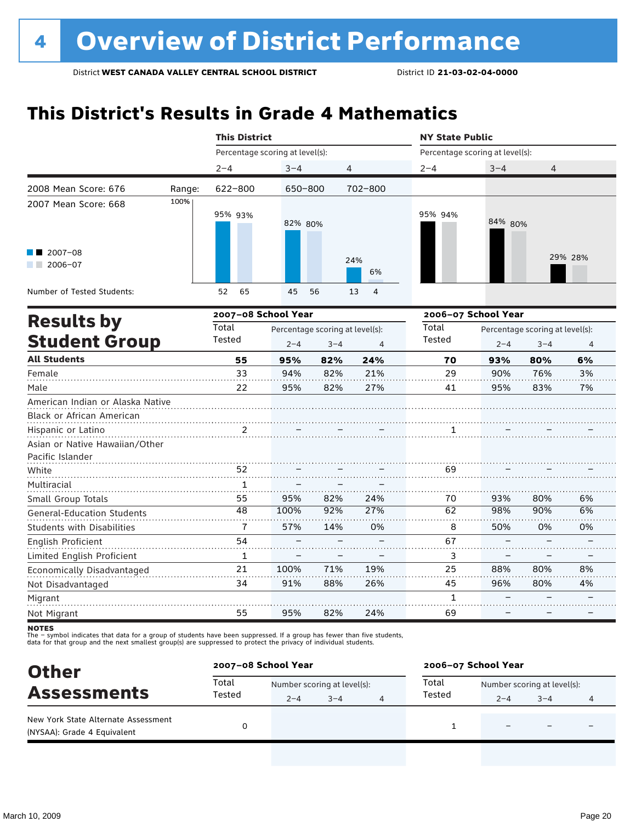# **This District's Results in Grade 4 Mathematics**

|                                                          |        | <b>This District</b>            |         |                                 |                      | <b>NY State Public</b>          |         |                                 |                |  |
|----------------------------------------------------------|--------|---------------------------------|---------|---------------------------------|----------------------|---------------------------------|---------|---------------------------------|----------------|--|
|                                                          |        | Percentage scoring at level(s): |         |                                 |                      | Percentage scoring at level(s): |         |                                 |                |  |
|                                                          |        | $2 - 4$                         | $3 - 4$ |                                 | 4                    | $2 - 4$                         | $3 - 4$ | 4                               |                |  |
| 2008 Mean Score: 676                                     | Range: | 622-800                         | 650-800 |                                 | $702 - 800$          |                                 |         |                                 |                |  |
| 2007 Mean Score: 668                                     | 100%   | 95% 93%                         | 82% 80% |                                 |                      | 95% 94%                         | 84% 80% |                                 |                |  |
| $\blacksquare$ 2007-08<br>$2006 - 07$<br><b>Contract</b> |        |                                 |         |                                 | 24%<br>6%            |                                 |         |                                 | 29% 28%        |  |
| Number of Tested Students:                               |        | 52<br>65                        | 45      | 56                              | $\overline{4}$<br>13 |                                 |         |                                 |                |  |
| <b>Results by</b>                                        |        | 2007-08 School Year             |         |                                 |                      | 2006-07 School Year             |         |                                 |                |  |
|                                                          |        | Total                           |         | Percentage scoring at level(s): |                      | Total                           |         | Percentage scoring at level(s): |                |  |
| <b>Student Group</b>                                     |        | Tested                          | $2 - 4$ | $3 - 4$                         | $\overline{4}$       | <b>Tested</b>                   | $2 - 4$ | $3 - 4$                         | $\overline{4}$ |  |
| <b>All Students</b>                                      |        | 55                              | 95%     | 82%                             | 24%                  | 70                              | 93%     | 80%                             | 6%             |  |
| Female                                                   |        | 33                              | 94%     | 82%                             | 21%                  | 29                              | 90%     | 76%                             | 3%             |  |
| Male                                                     |        | 22                              | 95%     | 82%                             | 27%                  | 41                              | 95%     | 83%                             | 7%             |  |
| American Indian or Alaska Native                         |        |                                 |         |                                 |                      |                                 |         |                                 |                |  |
| Black or African American                                |        |                                 |         |                                 |                      |                                 |         |                                 |                |  |
| Hispanic or Latino                                       |        | 2                               |         |                                 |                      | 1                               |         |                                 |                |  |
| Asian or Native Hawaiian/Other<br>Pacific Islander       |        |                                 |         |                                 |                      |                                 |         |                                 |                |  |
| White                                                    |        | 52                              |         |                                 |                      | 69                              |         |                                 |                |  |
| Multiracial                                              |        | 1                               |         |                                 |                      |                                 |         |                                 |                |  |
| Small Group Totals                                       |        | 55                              | 95%     | 82%                             | 24%                  | 70                              | 93%     | 80%                             | 6%             |  |
| <b>General-Education Students</b>                        |        | 48                              | 100%    | 92%                             | 27%                  | 62                              | 98%     | 90%                             | 6%             |  |
| <b>Students with Disabilities</b>                        |        | 7                               | 57%     | 14%                             | 0%                   | 8                               | 50%     | 0%                              | 0%             |  |
| English Proficient                                       |        | 54                              |         |                                 |                      | 67                              |         |                                 |                |  |
| Limited English Proficient                               |        | $\mathbf{1}$                    |         |                                 |                      | 3                               |         |                                 |                |  |
| Economically Disadvantaged                               |        | 21                              | 100%    | 71%                             | 19%                  | 25                              | 88%     | 80%                             | 8%             |  |
| Not Disadvantaged                                        |        | 34                              | 91%     | 88%                             | 26%                  | 45                              | 96%     | 80%                             | 4%             |  |
| Migrant                                                  |        |                                 |         |                                 |                      | $\mathbf{1}$                    |         |                                 |                |  |
| Not Migrant                                              |        | 55                              | 95%     | 82%                             | 24%                  | 69                              |         |                                 |                |  |

**NOTES** 

| <b>Other</b>                                                       |                 | 2007-08 School Year         |         |  | 2006-07 School Year |                             |         |   |  |
|--------------------------------------------------------------------|-----------------|-----------------------------|---------|--|---------------------|-----------------------------|---------|---|--|
| <b>Assessments</b>                                                 | Total<br>Tested | Number scoring at level(s): |         |  | Total               | Number scoring at level(s): |         |   |  |
|                                                                    |                 | $2 - 4$                     | $3 - 4$ |  | Tested              | $2 - 4$                     | $3 - 4$ | 4 |  |
| New York State Alternate Assessment<br>(NYSAA): Grade 4 Equivalent |                 |                             |         |  |                     |                             |         |   |  |
|                                                                    |                 |                             |         |  |                     |                             |         |   |  |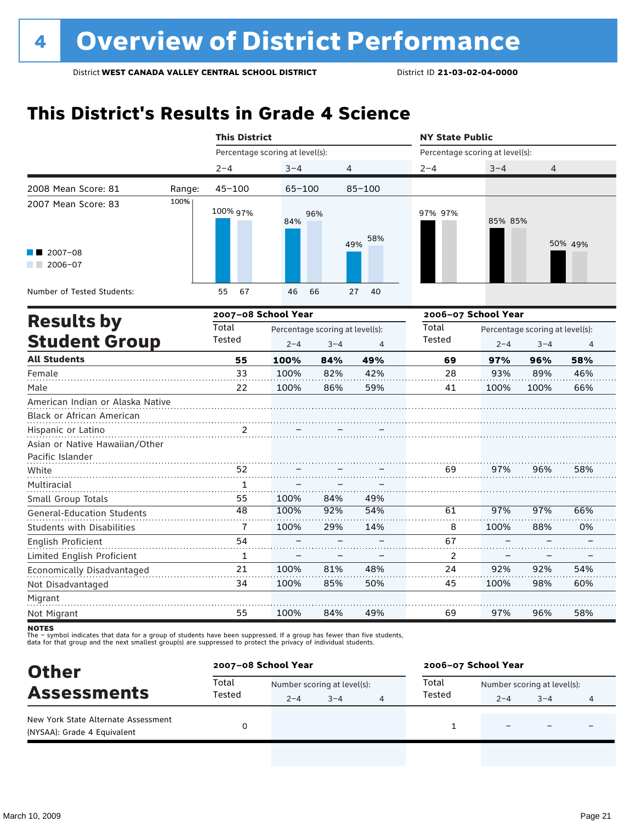# **This District's Results in Grade 4 Science**

|                                                                          |                 | <b>This District</b>            |                                            |                |                                 | <b>NY State Public</b> |                                            |                |  |  |
|--------------------------------------------------------------------------|-----------------|---------------------------------|--------------------------------------------|----------------|---------------------------------|------------------------|--------------------------------------------|----------------|--|--|
|                                                                          |                 | Percentage scoring at level(s): |                                            |                | Percentage scoring at level(s): |                        |                                            |                |  |  |
|                                                                          | $2 - 4$         | $3 - 4$                         | 4                                          |                | $2 - 4$                         | $3 - 4$                | 4                                          |                |  |  |
| 2008 Mean Score: 81<br>Range:                                            | $45 - 100$      | $65 - 100$                      |                                            | $85 - 100$     |                                 |                        |                                            |                |  |  |
| 100%<br>2007 Mean Score: 83                                              | 100% 97%        | 84%                             | 96%                                        | 58%            | 97% 97%                         | 85% 85%                |                                            |                |  |  |
| $2007 - 08$<br>$2006 - 07$<br>a sa Bala                                  |                 |                                 |                                            | 49%            |                                 |                        |                                            | 50% 49%        |  |  |
| Number of Tested Students:                                               | 55<br>67        | 46                              | 66                                         | 40<br>27       |                                 |                        |                                            |                |  |  |
|                                                                          |                 | 2007-08 School Year             |                                            |                |                                 | 2006-07 School Year    |                                            |                |  |  |
| <b>Results by</b><br><b>Student Group</b>                                | Total<br>Tested | $2 - 4$                         | Percentage scoring at level(s):<br>$3 - 4$ | $\overline{4}$ | Total<br>Tested                 | $2 - 4$                | Percentage scoring at level(s):<br>$3 - 4$ | $\overline{4}$ |  |  |
| <b>All Students</b>                                                      | 55              | 100%                            | 84%                                        | 49%            | 69                              | 97%                    | 96%                                        | 58%            |  |  |
| Female                                                                   | 33              | 100%                            | 82%                                        | 42%            | 28                              | 93%                    | 89%                                        | 46%            |  |  |
| Male                                                                     | 22              | 100%                            | 86%                                        | 59%            | 41                              | 100%                   | 100%                                       | 66%            |  |  |
| American Indian or Alaska Native<br>Black or African American            |                 |                                 |                                            |                |                                 |                        |                                            |                |  |  |
| Hispanic or Latino<br>Asian or Native Hawaiian/Other<br>Pacific Islander | 2               |                                 |                                            |                |                                 |                        |                                            |                |  |  |
| White                                                                    | 52              |                                 |                                            |                | 69                              | 97%                    | 96%                                        | 58%            |  |  |
| Multiracial                                                              | $\mathbf{1}$    |                                 |                                            |                |                                 |                        |                                            |                |  |  |
| Small Group Totals                                                       | 55              | 100%                            | 84%                                        | 49%            |                                 |                        |                                            |                |  |  |
| <b>General-Education Students</b>                                        | 48              | 100%                            | 92%                                        | 54%            | 61                              | 97%                    | 97%                                        | 66%            |  |  |
| <b>Students with Disabilities</b>                                        | $\overline{7}$  | 100%                            | 29%                                        | 14%            | 8                               | 100%                   | 88%                                        | 0%             |  |  |
| <b>English Proficient</b>                                                | 54              |                                 |                                            |                | 67                              |                        |                                            |                |  |  |
| Limited English Proficient                                               | $\mathbf{1}$    |                                 |                                            |                | 2                               |                        |                                            |                |  |  |
| Economically Disadvantaged                                               | 21              | 100%                            | 81%                                        | 48%            | 24                              | 92%                    | 92%                                        | 54%            |  |  |
| Not Disadvantaged                                                        | 34              | 100%                            | 85%                                        | 50%            | 45                              | 100%                   | 98%                                        | 60%            |  |  |
| Migrant                                                                  |                 |                                 |                                            |                |                                 |                        |                                            |                |  |  |
| Not Migrant                                                              | 55              | 100%                            | 84%                                        | 49%            | 69                              | 97%                    | 96%                                        | 58%            |  |  |

**NOTES** 

| <b>Other</b>                                                       |                 | 2007-08 School Year |                             |  | 2006-07 School Year |                             |         |   |
|--------------------------------------------------------------------|-----------------|---------------------|-----------------------------|--|---------------------|-----------------------------|---------|---|
| <b>Assessments</b>                                                 | Total<br>Tested |                     | Number scoring at level(s): |  |                     | Number scoring at level(s): |         |   |
|                                                                    |                 | $2 - 4$             | $3 - 4$                     |  | Tested              | $2 - 4$                     | $3 - 4$ | 4 |
| New York State Alternate Assessment<br>(NYSAA): Grade 4 Equivalent |                 |                     |                             |  |                     |                             |         |   |
|                                                                    |                 |                     |                             |  |                     |                             |         |   |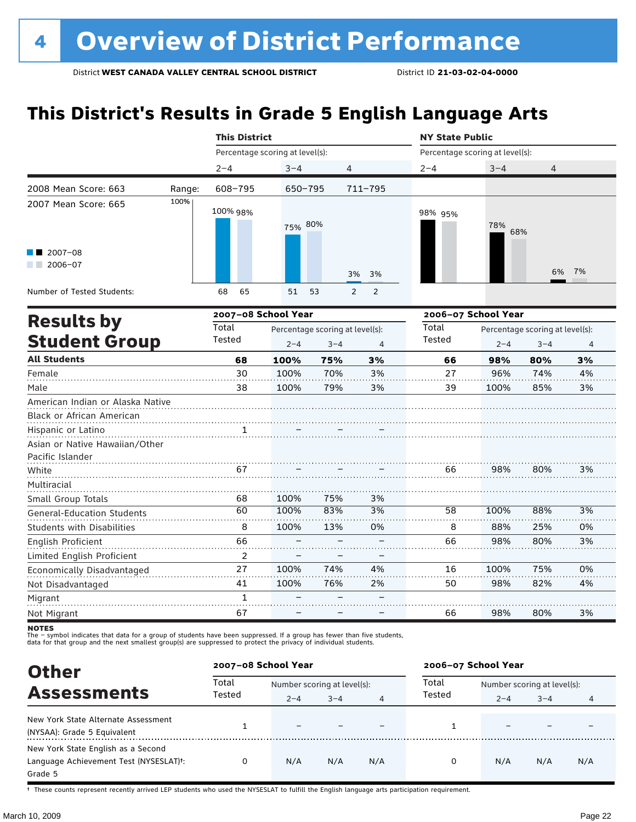# **This District's Results in Grade 5 English Language Arts**

|                                   |                     | <b>This District</b>            |                                 |         |                     | <b>NY State Public</b>          |                                 |         |    |  |
|-----------------------------------|---------------------|---------------------------------|---------------------------------|---------|---------------------|---------------------------------|---------------------------------|---------|----|--|
|                                   |                     | Percentage scoring at level(s): |                                 |         |                     | Percentage scoring at level(s): |                                 |         |    |  |
|                                   |                     | $2 - 4$                         | $3 - 4$                         | 4       |                     | $2 - 4$                         | $3 - 4$                         | 4       |    |  |
| 2008 Mean Score: 663              | Range:              | 608-795                         | $650 - 795$                     |         | 711-795             |                                 |                                 |         |    |  |
| 2007 Mean Score: 665              | 100%                | 100% 98%                        | 75% 80%                         |         |                     | 98% 95%                         | 78%<br>68%                      |         |    |  |
| $2007 - 08$<br>$2006 - 07$        |                     |                                 |                                 |         | 3%<br>3%            |                                 |                                 | 6%      | 7% |  |
| Number of Tested Students:        |                     | 68<br>65                        | 51                              | 53      | $\overline{2}$<br>2 |                                 |                                 |         |    |  |
|                                   | 2007-08 School Year |                                 |                                 |         |                     |                                 | 2006-07 School Year             |         |    |  |
| <b>Results by</b>                 | Total               |                                 | Percentage scoring at level(s): |         | Total               |                                 | Percentage scoring at level(s): |         |    |  |
| <b>Student Group</b>              |                     | Tested                          | $2 - 4$                         | $3 - 4$ | 4                   | <b>Tested</b>                   | $2 - 4$                         | $3 - 4$ | 4  |  |
| <b>All Students</b>               |                     | 68                              | 100%                            | 75%     | 3%                  | 66                              | 98%                             | 80%     | 3% |  |
| Female                            |                     | 30                              | 100%                            | 70%     | 3%                  | 27                              | 96%                             | 74%     | 4% |  |
| Male                              |                     | 38                              | 100%                            | 79%     | 3%                  | 39                              | 100%                            | 85%     | 3% |  |
| American Indian or Alaska Native  |                     |                                 |                                 |         |                     |                                 |                                 |         |    |  |
| Black or African American         |                     |                                 |                                 |         |                     |                                 |                                 |         |    |  |
| Hispanic or Latino                |                     | 1                               |                                 |         |                     |                                 |                                 |         |    |  |
| Asian or Native Hawaiian/Other    |                     |                                 |                                 |         |                     |                                 |                                 |         |    |  |
| Pacific Islander                  |                     |                                 |                                 |         |                     |                                 |                                 |         |    |  |
| White                             |                     | 67                              |                                 |         |                     | 66                              | 98%                             | 80%     | 3% |  |
| Multiracial                       |                     |                                 |                                 |         |                     |                                 |                                 |         |    |  |
| Small Group Totals                |                     | 68                              | 100%                            | 75%     | 3%                  |                                 |                                 |         |    |  |
| <b>General-Education Students</b> |                     | 60                              | 100%                            | 83%     | 3%                  | 58                              | 100%                            | 88%     | 3% |  |
| <b>Students with Disabilities</b> |                     | 8                               | 100%                            | 13%     | 0%                  | 8                               | 88%                             | 25%     | 0% |  |
| English Proficient                |                     | 66                              |                                 |         |                     | 66                              | 98%                             | 80%     | 3% |  |
| Limited English Proficient        |                     | 2                               |                                 |         |                     |                                 |                                 |         |    |  |
| Economically Disadvantaged        |                     | 27                              | 100%                            | 74%     | 4%                  | 16                              | 100%                            | 75%     | 0% |  |
| Not Disadvantaged                 |                     | 41                              | 100%                            | 76%     | 2%                  | 50                              | 98%                             | 82%     | 4% |  |
| Migrant                           |                     | $\mathbf{1}$                    |                                 |         |                     |                                 |                                 |         |    |  |
| Not Migrant                       |                     | 67                              |                                 |         |                     | 66                              | 98%                             | 80%     | 3% |  |

**NOTES** 

The – symbol indicates that data for a group of students have been suppressed. If a group has fewer than five students,<br>data for that group and the next smallest group(s) are suppressed to protect the privacy of individual

| <b>Other</b>                                                                            |                 | 2007-08 School Year                    |         |     | 2006-07 School Year |                                        |         |     |  |
|-----------------------------------------------------------------------------------------|-----------------|----------------------------------------|---------|-----|---------------------|----------------------------------------|---------|-----|--|
| <b>Assessments</b>                                                                      | Total<br>Tested | Number scoring at level(s):<br>$2 - 4$ | $3 - 4$ |     | Total<br>Tested     | Number scoring at level(s):<br>$2 - 4$ | $3 - 4$ |     |  |
| New York State Alternate Assessment<br>(NYSAA): Grade 5 Equivalent                      |                 |                                        |         |     |                     |                                        |         |     |  |
| New York State English as a Second<br>Language Achievement Test (NYSESLAT)t:<br>Grade 5 |                 | N/A                                    | N/A     | N/A | 0                   | N/A                                    | N/A     | N/A |  |

† These counts represent recently arrived LEP students who used the NYSESLAT to fulfill the English language arts participation requirement.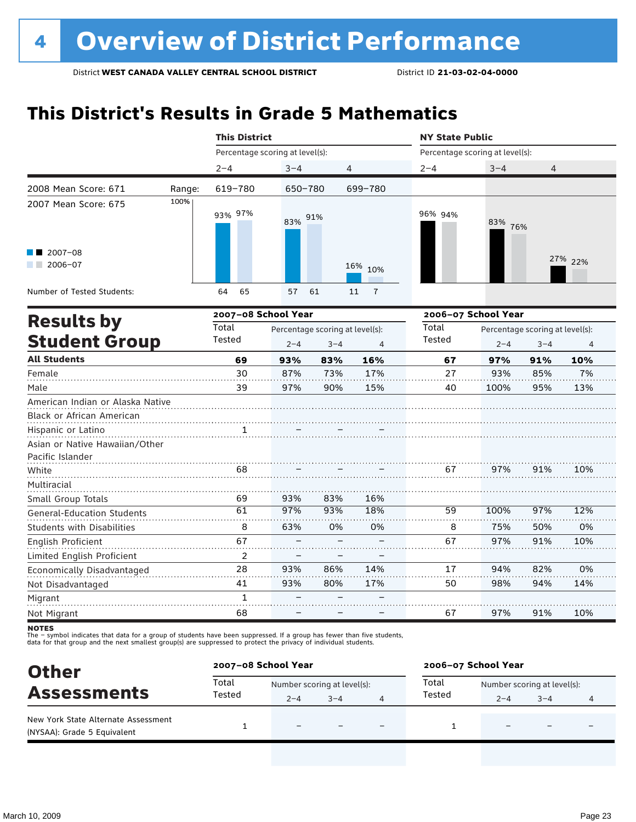## **This District's Results in Grade 5 Mathematics**

|                                                               |        | <b>This District</b>            |                                 |         |                      | <b>NY State Public</b>          |                                 |         |         |  |
|---------------------------------------------------------------|--------|---------------------------------|---------------------------------|---------|----------------------|---------------------------------|---------------------------------|---------|---------|--|
|                                                               |        | Percentage scoring at level(s): |                                 |         |                      | Percentage scoring at level(s): |                                 |         |         |  |
|                                                               |        | $2 - 4$                         | $3 - 4$                         | 4       |                      | $2 - 4$                         | $3 - 4$                         | 4       |         |  |
| 2008 Mean Score: 671                                          | Range: | 619-780                         | 650-780                         |         | 699-780              |                                 |                                 |         |         |  |
| 2007 Mean Score: 675                                          | 100%   | 93% 97%                         | 83% 91%                         |         |                      | 96% 94%                         | 83% 76%                         |         |         |  |
| $2007 - 08$<br>2006-07<br><b>The Contract State</b>           |        |                                 |                                 |         | 16% 10%              |                                 |                                 |         | 27% 22% |  |
| Number of Tested Students:                                    |        | 65<br>64                        | 57                              | 61      | $\overline{7}$<br>11 |                                 |                                 |         |         |  |
|                                                               |        | 2007-08 School Year             |                                 |         |                      | 2006-07 School Year             |                                 |         |         |  |
| <b>Results by</b>                                             |        | Total                           | Percentage scoring at level(s): |         |                      | Total                           | Percentage scoring at level(s): |         |         |  |
| <b>Student Group</b>                                          |        | Tested                          | $2 - 4$                         | $3 - 4$ | 4                    | Tested                          | $2 - 4$                         | $3 - 4$ | 4       |  |
| <b>All Students</b>                                           |        | 69                              | 93%                             | 83%     | 16%                  | 67                              | 97%                             | 91%     | 10%     |  |
| Female                                                        |        | 30                              | 87%                             | 73%     | 17%                  | 27                              | 93%                             | 85%     | 7%      |  |
| Male                                                          |        | 39                              | 97%                             | 90%     | 15%                  | 40                              | 100%                            | 95%     | 13%     |  |
| American Indian or Alaska Native<br>Black or African American |        |                                 |                                 |         |                      |                                 |                                 |         |         |  |
| Hispanic or Latino                                            |        | 1                               |                                 |         |                      |                                 |                                 |         |         |  |
| Asian or Native Hawaiian/Other<br>Pacific Islander            |        |                                 |                                 |         |                      |                                 |                                 |         |         |  |
| White                                                         |        | 68                              |                                 |         |                      | 67                              | 97%                             | 91%     | 10%     |  |
| Multiracial                                                   |        |                                 |                                 |         |                      |                                 |                                 |         |         |  |
| Small Group Totals                                            |        | 69                              | 93%                             | 83%     | 16%                  |                                 |                                 |         |         |  |
| <b>General-Education Students</b>                             |        | 61                              | 97%                             | 93%     | 18%                  | 59                              | 100%                            | 97%     | 12%     |  |
| <b>Students with Disabilities</b>                             |        | 8                               | 63%                             | 0%      | 0%                   | 8                               | 75%                             | 50%     | 0%      |  |
| English Proficient                                            |        | 67                              |                                 |         |                      | 67                              | 97%                             | 91%     | 10%     |  |
| Limited English Proficient                                    |        | 2                               |                                 |         |                      |                                 |                                 |         |         |  |
| Economically Disadvantaged                                    |        | 28                              | 93%                             | 86%     | 14%                  | 17                              | 94%                             | 82%     | 0%      |  |
| Not Disadvantaged                                             |        | 41                              | 93%                             | 80%     | 17%                  | 50                              | 98%                             | 94%     | 14%     |  |
| Migrant                                                       |        | $\mathbf{1}$                    |                                 |         |                      |                                 |                                 |         |         |  |
| Not Migrant                                                   |        | 68                              |                                 |         |                      | 67                              | 97%                             | 91%     | 10%     |  |

**NOTES** 

| <b>Other</b><br><b>Assessments</b>                                 | 2007-08 School Year |                             |         |  | 2006-07 School Year |                             |         |   |  |
|--------------------------------------------------------------------|---------------------|-----------------------------|---------|--|---------------------|-----------------------------|---------|---|--|
|                                                                    | Total<br>Tested     | Number scoring at level(s): |         |  | Total               | Number scoring at level(s): |         |   |  |
|                                                                    |                     | $2 - 4$                     | $3 - 4$ |  | Tested              | $2 - 4$                     | $3 - 4$ | 4 |  |
| New York State Alternate Assessment<br>(NYSAA): Grade 5 Equivalent |                     | $\overline{\phantom{0}}$    |         |  |                     |                             |         |   |  |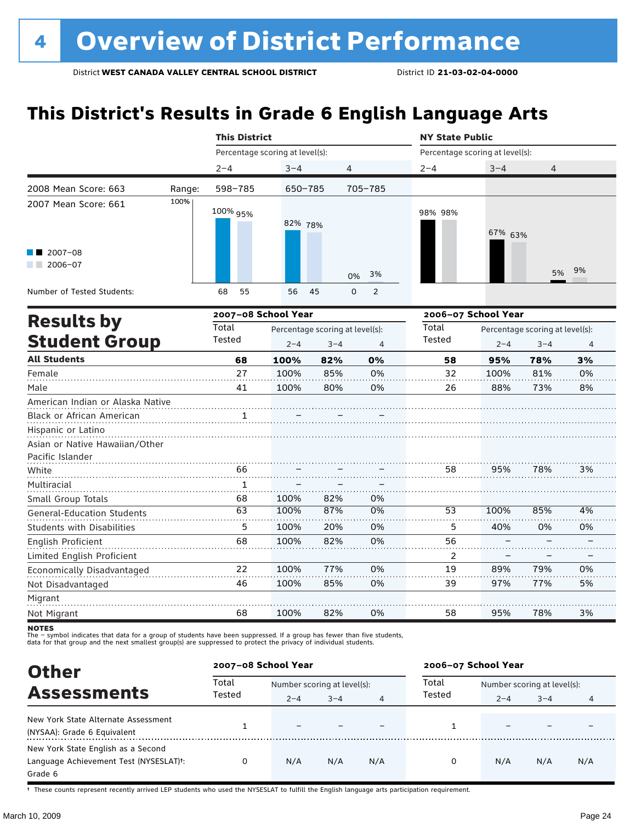# **This District's Results in Grade 6 English Language Arts**

|                                   |        | <b>This District</b>            |             |                                 |                     | <b>NY State Public</b>          |                     |                                 |    |  |  |
|-----------------------------------|--------|---------------------------------|-------------|---------------------------------|---------------------|---------------------------------|---------------------|---------------------------------|----|--|--|
|                                   |        | Percentage scoring at level(s): |             |                                 |                     | Percentage scoring at level(s): |                     |                                 |    |  |  |
|                                   |        | $2 - 4$                         | $3 - 4$     |                                 | 4                   | $2 - 4$                         | $3 - 4$             | 4                               |    |  |  |
| 2008 Mean Score: 663              | Range: | 598-785                         | $650 - 785$ |                                 | 705-785             |                                 |                     |                                 |    |  |  |
| 2007 Mean Score: 661              | 100%   | 100% 95%                        | 82% 78%     |                                 |                     | 98% 98%                         | 67% 63%             |                                 |    |  |  |
| 2007-08                           |        |                                 |             |                                 |                     |                                 |                     |                                 |    |  |  |
| 2006-07                           |        |                                 |             |                                 | 3%<br>0%            |                                 |                     | 5%                              | 9% |  |  |
| Number of Tested Students:        |        | 55<br>68                        | 56          | 45                              | 0<br>$\overline{2}$ |                                 |                     |                                 |    |  |  |
| <b>Results by</b>                 |        | 2007-08 School Year             |             |                                 |                     |                                 | 2006-07 School Year |                                 |    |  |  |
|                                   |        | Total                           |             | Percentage scoring at level(s): |                     | Total                           |                     | Percentage scoring at level(s): |    |  |  |
| <b>Student Group</b>              |        | Tested                          | $2 - 4$     | $3 - 4$                         | 4                   | Tested                          | $2 - 4$             | $3 - 4$                         | 4  |  |  |
| <b>All Students</b>               |        | 68                              | 100%        | 82%                             | 0%                  | 58                              | 95%                 | 78%                             | 3% |  |  |
| Female                            |        | 27                              | 100%        | 85%                             | 0%                  | 32                              | 100%                | 81%                             | 0% |  |  |
| Male                              |        | 41                              | 100%        | 80%                             | 0%                  | 26                              | 88%                 | 73%                             | 8% |  |  |
| American Indian or Alaska Native  |        |                                 |             |                                 |                     |                                 |                     |                                 |    |  |  |
| Black or African American         |        |                                 |             |                                 |                     |                                 |                     |                                 |    |  |  |
| Hispanic or Latino                |        |                                 |             |                                 |                     |                                 |                     |                                 |    |  |  |
| Asian or Native Hawaiian/Other    |        |                                 |             |                                 |                     |                                 |                     |                                 |    |  |  |
| Pacific Islander                  |        |                                 |             |                                 |                     |                                 |                     |                                 |    |  |  |
| White                             |        | 66                              |             |                                 |                     | 58                              | 95%                 | 78%                             | 3% |  |  |
| Multiracial                       |        | 1                               |             |                                 |                     |                                 |                     |                                 |    |  |  |
| Small Group Totals                |        | 68                              | 100%        | 82%                             | 0%                  |                                 |                     |                                 |    |  |  |
| <b>General-Education Students</b> |        | 63                              | 100%        | 87%                             | 0%                  | 53                              | 100%                | 85%                             | 4% |  |  |
| <b>Students with Disabilities</b> |        | 5                               | 100%        | 20%                             | 0%                  | 5                               | 40%                 | 0%                              | 0% |  |  |
| English Proficient                |        | 68                              | 100%        | 82%                             | 0%                  | 56                              |                     |                                 |    |  |  |
| Limited English Proficient        |        |                                 |             |                                 |                     | 2                               |                     |                                 |    |  |  |
| Economically Disadvantaged        |        | 22                              | 100%        | 77%                             | 0%                  | 19                              | 89%                 | 79%                             | 0% |  |  |
| Not Disadvantaged                 |        | 46                              | 100%        | 85%                             | 0%                  | 39                              | 97%                 | 77%                             | 5% |  |  |
| Migrant                           |        |                                 |             |                                 |                     |                                 |                     |                                 |    |  |  |
| Not Migrant                       |        | 68                              | 100%        | 82%                             | 0%                  | 58                              | 95%                 | 78%                             | 3% |  |  |
|                                   |        |                                 |             |                                 |                     |                                 |                     |                                 |    |  |  |

notes

The – symbol indicates that data for a group of students have been suppressed. If a group has fewer than five students,<br>data for that group and the next smallest group(s) are suppressed to protect the privacy of individual

| <b>Other</b>                                        |                 | 2007-08 School Year         |         |                | 2006-07 School Year |                             |         |     |  |
|-----------------------------------------------------|-----------------|-----------------------------|---------|----------------|---------------------|-----------------------------|---------|-----|--|
| <b>Assessments</b>                                  | Total<br>Tested | Number scoring at level(s): |         |                | Total               | Number scoring at level(s): |         |     |  |
|                                                     |                 | $2 - 4$                     | $3 - 4$ | $\overline{4}$ | Tested              | $2 - 4$                     | $3 - 4$ | 4   |  |
| New York State Alternate Assessment                 |                 |                             |         |                |                     |                             |         |     |  |
| (NYSAA): Grade 6 Equivalent                         |                 |                             |         |                |                     |                             |         |     |  |
| New York State English as a Second                  |                 |                             |         |                |                     |                             |         |     |  |
| Language Achievement Test (NYSESLAT) <sup>+</sup> : | 0               | N/A                         | N/A     | N/A            | 0                   | N/A                         | N/A     | N/A |  |
| Grade 6                                             |                 |                             |         |                |                     |                             |         |     |  |

† These counts represent recently arrived LEP students who used the NYSESLAT to fulfill the English language arts participation requirement.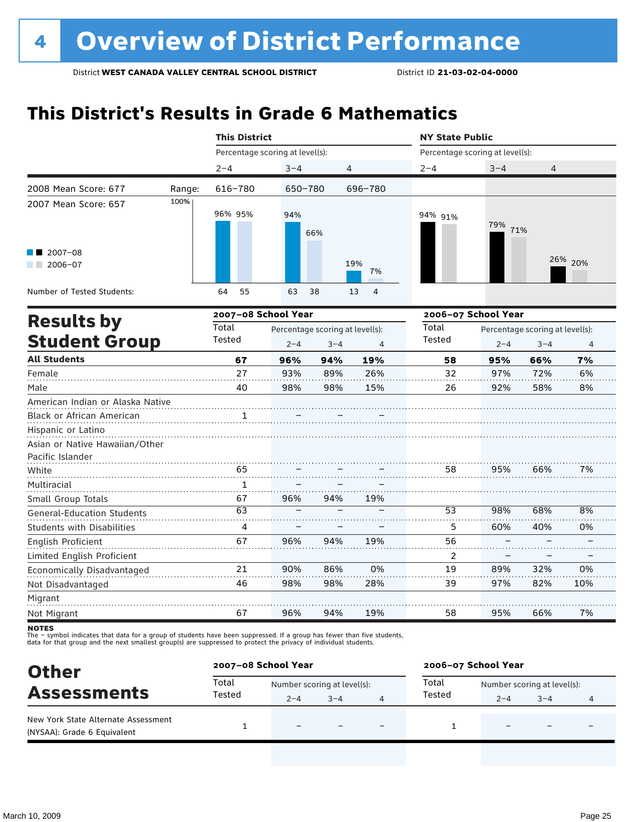## **This District's Results in Grade 6 Mathematics**

|                                   |        | <b>This District</b>            |         |                                 |                      | <b>NY State Public</b>          |         |                                 |                |  |  |
|-----------------------------------|--------|---------------------------------|---------|---------------------------------|----------------------|---------------------------------|---------|---------------------------------|----------------|--|--|
|                                   |        | Percentage scoring at level(s): |         |                                 |                      | Percentage scoring at level(s): |         |                                 |                |  |  |
|                                   |        | $2 - 4$                         | $3 - 4$ | 4                               |                      | $2 - 4$                         | $3 - 4$ | 4                               |                |  |  |
| 2008 Mean Score: 677              | Range: | 616-780                         | 650-780 |                                 | 696-780              |                                 |         |                                 |                |  |  |
| 2007 Mean Score: 657              | 100%   | 96% 95%                         | 94%     | 66%                             |                      | 94% 91%                         | 79% 71% |                                 |                |  |  |
| $2007 - 08$<br>$2006 - 07$        |        |                                 |         |                                 | 19%<br>7%            |                                 |         |                                 | 26% 20%        |  |  |
| Number of Tested Students:        |        | 64<br>55                        | 63      | 38                              | $\overline{4}$<br>13 |                                 |         |                                 |                |  |  |
| <b>Results by</b>                 |        | 2007-08 School Year             |         |                                 |                      | 2006-07 School Year             |         |                                 |                |  |  |
|                                   |        | Total                           |         | Percentage scoring at level(s): |                      | Total                           |         | Percentage scoring at level(s): |                |  |  |
| <b>Student Group</b>              |        | Tested                          | $2 - 4$ | $3 - 4$                         | $\overline{4}$       | Tested                          | $2 - 4$ | $3 - 4$                         | $\overline{4}$ |  |  |
| <b>All Students</b>               |        | 67                              | 96%     | 94%                             | 19%                  | 58                              | 95%     | 66%                             | 7%             |  |  |
| Female                            |        | 27                              | 93%     | 89%                             | 26%                  | 32                              | 97%     | 72%                             | 6%             |  |  |
| Male                              |        | 40                              | 98%     | 98%                             | 15%                  | 26                              | 92%     | 58%                             | 8%             |  |  |
| American Indian or Alaska Native  |        |                                 |         |                                 |                      |                                 |         |                                 |                |  |  |
| Black or African American         |        |                                 |         |                                 |                      |                                 |         |                                 |                |  |  |
| Hispanic or Latino                |        |                                 |         |                                 |                      |                                 |         |                                 |                |  |  |
| Asian or Native Hawaiian/Other    |        |                                 |         |                                 |                      |                                 |         |                                 |                |  |  |
| Pacific Islander                  |        |                                 |         |                                 |                      |                                 |         |                                 |                |  |  |
| White                             |        | 65                              |         |                                 |                      | 58                              | 95%     | 66%                             | 7%             |  |  |
| Multiracial                       |        | 1                               |         |                                 |                      |                                 |         |                                 |                |  |  |
| Small Group Totals                |        | 67                              | 96%     | 94%                             | 19%                  |                                 |         |                                 |                |  |  |
| <b>General-Education Students</b> |        | 63                              |         |                                 |                      | 53                              | 98%     | 68%                             | 8%             |  |  |
| <b>Students with Disabilities</b> |        | 4                               |         |                                 |                      | 5                               | 60%     | 40%                             | 0%             |  |  |
| <b>English Proficient</b>         |        | 67                              | 96%     | 94%                             | 19%                  | 56                              |         |                                 |                |  |  |
| Limited English Proficient        |        |                                 |         |                                 |                      | $\overline{c}$                  |         |                                 |                |  |  |
| Economically Disadvantaged        |        | 21                              | 90%     | 86%                             | 0%                   | 19                              | 89%     | 32%                             | 0%             |  |  |
| Not Disadvantaged                 |        | 46                              | 98%     | 98%                             | 28%                  | 39                              | 97%     | 82%                             | 10%            |  |  |
| Migrant                           |        |                                 |         |                                 |                      |                                 |         |                                 |                |  |  |
| Not Migrant                       |        | 67                              | 96%     | 94%                             | 19%                  | 58                              | 95%     | 66%                             | 7%             |  |  |

**NOTES** 

| <b>Other</b>                                                       | 2007-08 School Year |                             |         |  | 2006-07 School Year |                             |                          |   |  |
|--------------------------------------------------------------------|---------------------|-----------------------------|---------|--|---------------------|-----------------------------|--------------------------|---|--|
|                                                                    | Total               | Number scoring at level(s): |         |  | Total               | Number scoring at level(s): |                          |   |  |
| <b>Assessments</b>                                                 | Tested              | $2 - 4$                     | $3 - 4$ |  | Tested              | $2 - 4$                     | $3 - 4$                  | 4 |  |
| New York State Alternate Assessment<br>(NYSAA): Grade 6 Equivalent |                     |                             |         |  |                     |                             | $\overline{\phantom{0}}$ |   |  |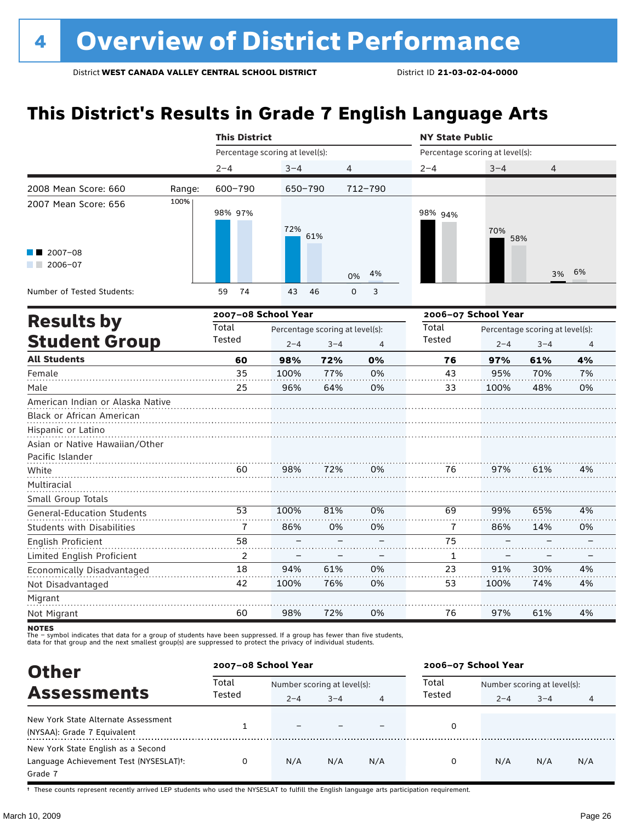# **This District's Results in Grade 7 English Language Arts**

|                                                                                                                       |        |                                 | <b>This District</b> |                                            |                  |                                 | <b>NY State Public</b> |                                            |         |  |  |
|-----------------------------------------------------------------------------------------------------------------------|--------|---------------------------------|----------------------|--------------------------------------------|------------------|---------------------------------|------------------------|--------------------------------------------|---------|--|--|
|                                                                                                                       |        | Percentage scoring at level(s): |                      |                                            |                  | Percentage scoring at level(s): |                        |                                            |         |  |  |
|                                                                                                                       |        | $2 - 4$                         | $3 - 4$              |                                            | 4                | $2 - 4$                         | $3 - 4$                | 4                                          |         |  |  |
| 2008 Mean Score: 660                                                                                                  | Range: | 600-790                         | 650-790              |                                            | $712 - 790$      |                                 |                        |                                            |         |  |  |
| 2007 Mean Score: 656                                                                                                  | 100%   | 98% 97%                         | 72%                  | 61%                                        |                  | 98% 94%                         | 70%<br>58%             |                                            |         |  |  |
| $\blacksquare$ 2007-08<br>$2006 - 07$                                                                                 |        |                                 |                      |                                            | 4%<br>0%         |                                 |                        | 3%                                         | 6%      |  |  |
| Number of Tested Students:                                                                                            |        | 74<br>59                        | 43                   | 46                                         | 3<br>$\mathsf 0$ |                                 |                        |                                            |         |  |  |
| <b>Results by</b>                                                                                                     |        | 2007-08 School Year             |                      |                                            |                  |                                 | 2006-07 School Year    |                                            |         |  |  |
| <b>Student Group</b>                                                                                                  |        | Total<br>Tested                 | $2 - 4$              | Percentage scoring at level(s):<br>$3 - 4$ | 4                | Total<br>Tested                 | $2 - 4$                | Percentage scoring at level(s):<br>$3 - 4$ |         |  |  |
| <b>All Students</b>                                                                                                   |        | 60                              | 98%                  | 72%                                        | 0%               | 76                              | 97%                    | 61%                                        | 4<br>4% |  |  |
| Female                                                                                                                |        | 35                              | 100%                 | 77%                                        | 0%               | 43                              | 95%                    | 70%                                        | 7%      |  |  |
| Male                                                                                                                  |        | 25                              | 96%                  | 64%                                        | 0%               | 33                              | 100%                   | 48%                                        | 0%      |  |  |
| American Indian or Alaska Native<br>Black or African American<br>Hispanic or Latino<br>Asian or Native Hawaiian/Other |        |                                 |                      |                                            |                  |                                 |                        |                                            |         |  |  |
| Pacific Islander                                                                                                      |        |                                 |                      |                                            |                  |                                 |                        |                                            |         |  |  |
| White                                                                                                                 |        | 60                              | 98%                  | 72%                                        | 0%               | 76                              | 97%                    | 61%                                        | 4%      |  |  |
| Multiracial                                                                                                           |        |                                 |                      |                                            |                  |                                 |                        |                                            |         |  |  |
| Small Group Totals                                                                                                    |        | 53                              | 100%                 | 81%                                        | 0%               | 69                              | 99%                    | 65%                                        | 4%      |  |  |
| <b>General-Education Students</b>                                                                                     |        |                                 |                      |                                            |                  |                                 |                        |                                            |         |  |  |
| <b>Students with Disabilities</b>                                                                                     |        | 7                               | 86%                  | 0%                                         | 0%               | 7                               | 86%                    | 14%                                        | 0%      |  |  |
| English Proficient                                                                                                    |        | 58                              |                      |                                            |                  | 75                              |                        |                                            |         |  |  |
| Limited English Proficient                                                                                            |        | 2                               |                      |                                            |                  | 1                               |                        |                                            |         |  |  |
| Economically Disadvantaged                                                                                            |        | 18                              | 94%                  | 61%                                        | 0%               | 23                              | 91%                    | 30%                                        | 4%      |  |  |
| Not Disadvantaged                                                                                                     |        | 42                              | 100%                 | 76%                                        | 0%               | 53                              | 100%                   | 74%                                        | 4%      |  |  |
| Migrant<br>Not Migrant                                                                                                |        | 60                              | 98%                  | 72%                                        | 0%               | 76                              | 97%                    | 61%                                        | 4%      |  |  |

notes

The – symbol indicates that data for a group of students have been suppressed. If a group has fewer than five students,<br>data for that group and the next smallest group(s) are suppressed to protect the privacy of individual

| <b>Other</b>                                        |                 | 2007-08 School Year         |         |                | 2006-07 School Year |                             |         |     |  |
|-----------------------------------------------------|-----------------|-----------------------------|---------|----------------|---------------------|-----------------------------|---------|-----|--|
| <b>Assessments</b>                                  | Total<br>Tested | Number scoring at level(s): |         |                | Total               | Number scoring at level(s): |         |     |  |
|                                                     |                 | $2 - 4$                     | $3 - 4$ | $\overline{4}$ | Tested              | $2 - 4$                     | $3 - 4$ | 4   |  |
| New York State Alternate Assessment                 |                 |                             |         |                |                     |                             |         |     |  |
| (NYSAA): Grade 7 Equivalent                         |                 |                             |         |                | 0                   |                             |         |     |  |
| New York State English as a Second                  |                 |                             |         |                |                     |                             |         |     |  |
| Language Achievement Test (NYSESLAT) <sup>+</sup> : | 0               | N/A                         | N/A     | N/A            | 0                   | N/A                         | N/A     | N/A |  |
| Grade 7                                             |                 |                             |         |                |                     |                             |         |     |  |

† These counts represent recently arrived LEP students who used the NYSESLAT to fulfill the English language arts participation requirement.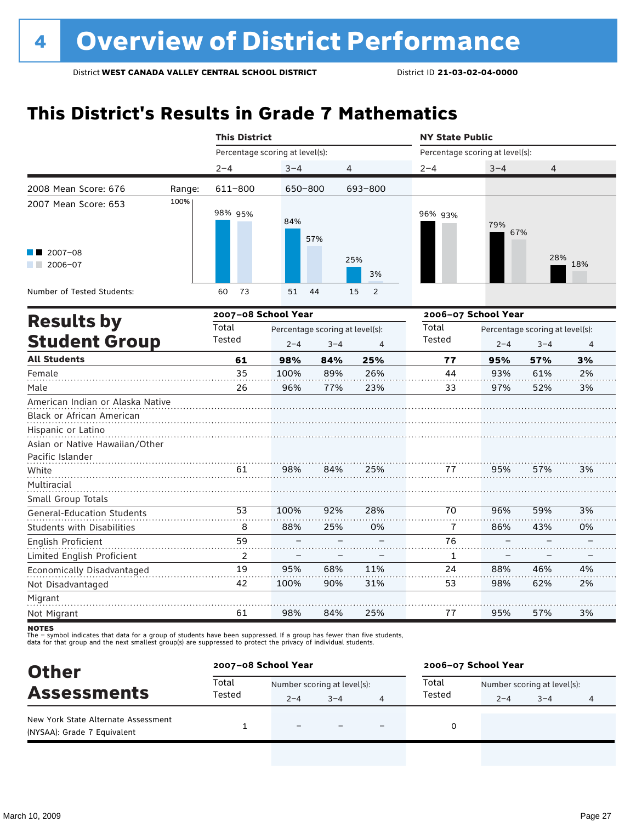# **This District's Results in Grade 7 Mathematics**

|                                                    |        | <b>This District</b>            |             |                                 |                      | <b>NY State Public</b> |                                 |                                 |          |  |
|----------------------------------------------------|--------|---------------------------------|-------------|---------------------------------|----------------------|------------------------|---------------------------------|---------------------------------|----------|--|
|                                                    |        | Percentage scoring at level(s): |             |                                 |                      |                        | Percentage scoring at level(s): |                                 |          |  |
|                                                    |        | $2 - 4$                         | $3 - 4$     |                                 | 4                    | $2 - 4$                | $3 - 4$                         | 4                               |          |  |
| 2008 Mean Score: 676                               | Range: | 611-800                         |             | 650-800                         | 693-800              |                        |                                 |                                 |          |  |
| 2007 Mean Score: 653                               | 100%   | 98% 95%                         | 84%         | 57%                             |                      | 96% 93%                | 79%<br>67%                      |                                 |          |  |
| 2007-08<br>$2006 - 07$<br><b>Contract Contract</b> |        |                                 |             |                                 | 25%<br>3%            |                        |                                 | 28%                             | 18%      |  |
| Number of Tested Students:                         |        | 73<br>60                        | 51          | 44                              | 15<br>$\overline{2}$ |                        |                                 |                                 |          |  |
| <b>Results by</b>                                  |        | 2007-08 School Year             |             |                                 |                      |                        | 2006-07 School Year             |                                 |          |  |
| <b>Student Group</b>                               |        | Total<br>Tested                 |             | Percentage scoring at level(s): |                      | Total<br>Tested        |                                 | Percentage scoring at level(s): |          |  |
| <b>All Students</b>                                |        |                                 | $2 - 4$     | $3 - 4$                         | $\overline{4}$       |                        | $2 - 4$                         | $3 - 4$                         | 4        |  |
|                                                    |        | 61<br>35                        | 98%<br>100% | 84%<br>89%                      | 25%<br>26%           | 77<br>44               | 95%<br>93%                      | 57%<br>61%                      | 3%<br>2% |  |
| Female<br>Male                                     |        | 26                              |             |                                 |                      |                        |                                 |                                 |          |  |
|                                                    |        |                                 | 96%         | 77%                             | 23%                  | 33                     | 97%                             | 52%                             | 3%       |  |
| American Indian or Alaska Native                   |        |                                 |             |                                 |                      |                        |                                 |                                 |          |  |
| Black or African American                          |        |                                 |             |                                 |                      |                        |                                 |                                 |          |  |
| Hispanic or Latino                                 |        |                                 |             |                                 |                      |                        |                                 |                                 |          |  |
| Asian or Native Hawaiian/Other<br>Pacific Islander |        |                                 |             |                                 |                      |                        |                                 |                                 |          |  |
| White                                              |        | 61                              | 98%         | 84%                             | 25%                  | 77                     | 95%                             | 57%                             | 3%       |  |
| Multiracial                                        |        |                                 |             |                                 |                      |                        |                                 |                                 |          |  |
| Small Group Totals                                 |        |                                 |             |                                 |                      |                        |                                 |                                 |          |  |
| General-Education Students                         |        | 53                              | 100%        | 92%                             | 28%                  | 70                     | 96%                             | 59%                             | 3%       |  |
| <b>Students with Disabilities</b>                  |        | 8                               | 88%         | 25%                             | 0%                   | 7                      | 86%                             | 43%                             | 0%       |  |
| English Proficient                                 |        | 59                              |             |                                 |                      | 76                     |                                 |                                 |          |  |
| Limited English Proficient                         |        | 2                               |             |                                 |                      | 1                      |                                 |                                 |          |  |
| Economically Disadvantaged                         |        | 19                              | 95%         | 68%                             | 11%                  | 24                     | 88%                             | 46%                             | 4%       |  |
| Not Disadvantaged                                  |        | 42                              | 100%        | 90%                             | 31%                  | 53                     | 98%                             | 62%                             | 2%       |  |
| Migrant                                            |        |                                 |             |                                 |                      |                        |                                 |                                 |          |  |
| Not Migrant                                        |        | 61                              | 98%         | 84%                             | 25%                  | 77                     | 95%                             | 57%                             | 3%       |  |

**NOTES** 

| 2006-07 School Year |                             |         |   |  |
|---------------------|-----------------------------|---------|---|--|
| Total               | Number scoring at level(s): |         |   |  |
| Tested              | $2 - 4$                     | $3 - 4$ | 4 |  |
|                     |                             |         |   |  |
|                     |                             |         |   |  |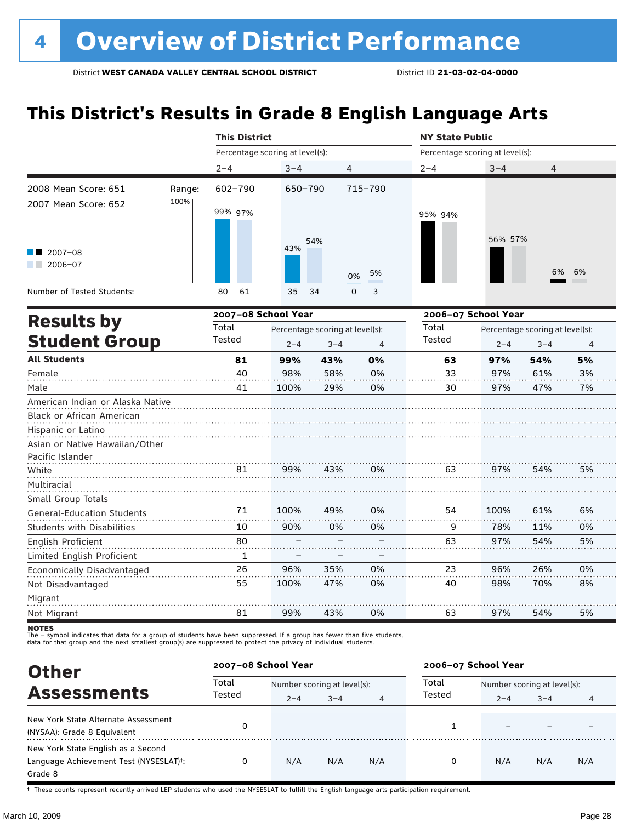# **This District's Results in Grade 8 English Language Arts**

|                                                               |        | <b>This District</b>            |                                 |         |                | <b>NY State Public</b>          |                     |                                 |    |  |
|---------------------------------------------------------------|--------|---------------------------------|---------------------------------|---------|----------------|---------------------------------|---------------------|---------------------------------|----|--|
|                                                               |        | Percentage scoring at level(s): |                                 |         |                | Percentage scoring at level(s): |                     |                                 |    |  |
|                                                               |        | $2 - 4$                         | $3 - 4$                         |         | $\overline{4}$ | $2 - 4$                         | $3 - 4$             | 4                               |    |  |
| 2008 Mean Score: 651                                          | Range: | $602 - 790$                     | 650-790                         |         | 715-790        |                                 |                     |                                 |    |  |
| 2007 Mean Score: 652                                          | 100%   | 99% 97%                         |                                 | 54%     |                | 95% 94%                         | 56% 57%             |                                 |    |  |
| 2007-08<br>2006-07                                            |        |                                 | 43%                             |         | 5%<br>0%       |                                 |                     | 6%                              | 6% |  |
| Number of Tested Students:                                    |        | 61<br>80                        | 35                              | 34      | 0<br>3         |                                 |                     |                                 |    |  |
| <b>Results by</b>                                             |        | 2007-08 School Year             |                                 |         |                |                                 | 2006-07 School Year |                                 |    |  |
|                                                               |        | Total                           | Percentage scoring at level(s): |         |                | Total                           |                     | Percentage scoring at level(s): |    |  |
| <b>Student Group</b>                                          |        | Tested                          | $2 - 4$                         | $3 - 4$ | 4              | Tested                          | $2 - 4$             | $3 - 4$                         | 4  |  |
| <b>All Students</b>                                           |        | 81                              | 99%                             | 43%     | 0%             | 63                              | 97%                 | 54%                             | 5% |  |
| Female                                                        |        | 40                              | 98%                             | 58%     | 0%             | 33                              | 97%                 | 61%                             | 3% |  |
| Male                                                          |        | 41                              | 100%                            | 29%     | 0%             | 30                              | 97%                 | 47%                             | 7% |  |
| American Indian or Alaska Native<br>Black or African American |        |                                 |                                 |         |                |                                 |                     |                                 |    |  |
| Hispanic or Latino<br>Asian or Native Hawaiian/Other          |        |                                 |                                 |         |                |                                 |                     |                                 |    |  |
| Pacific Islander<br>White                                     |        | 81                              | 99%                             | 43%     | 0%             | 63                              | 97%                 | 54%                             | 5% |  |
| Multiracial                                                   |        |                                 |                                 |         |                |                                 |                     |                                 |    |  |
| Small Group Totals                                            |        |                                 |                                 |         |                |                                 |                     |                                 |    |  |
| <b>General-Education Students</b>                             |        | 71                              | 100%                            | 49%     | 0%             | 54                              | 100%                | 61%                             | 6% |  |
| <b>Students with Disabilities</b>                             |        | 10                              | 90%                             | 0%      | 0%             | 9                               | 78%                 | 11%                             | 0% |  |
| English Proficient                                            |        | 80                              |                                 |         |                | 63                              | 97%                 | 54%                             | 5% |  |
| Limited English Proficient                                    |        | 1                               |                                 |         |                |                                 |                     |                                 |    |  |
| Economically Disadvantaged                                    |        | 26                              | 96%                             | 35%     | 0%             | 23                              | 96%                 | 26%                             | 0% |  |
| Not Disadvantaged                                             |        | 55                              | 100%                            | 47%     | 0%             | 40                              | 98%                 | 70%                             | 8% |  |
| Migrant                                                       |        |                                 |                                 |         |                |                                 |                     |                                 |    |  |
| Not Migrant                                                   |        | 81                              | 99%                             | 43%     | 0%             | 63                              | 97%                 | 54%                             | 5% |  |

notes

The – symbol indicates that data for a group of students have been suppressed. If a group has fewer than five students,<br>data for that group and the next smallest group(s) are suppressed to protect the privacy of individual

| <b>Other</b>                                        |                 | 2007-08 School Year         |         |                | 2006-07 School Year |                             |         |     |  |
|-----------------------------------------------------|-----------------|-----------------------------|---------|----------------|---------------------|-----------------------------|---------|-----|--|
|                                                     | Total<br>Tested | Number scoring at level(s): |         |                | Total               | Number scoring at level(s): |         |     |  |
| <b>Assessments</b>                                  |                 | $2 - 4$                     | $3 - 4$ | $\overline{4}$ | Tested              | $2 - 4$                     | $3 - 4$ | 4   |  |
| New York State Alternate Assessment                 |                 |                             |         |                |                     |                             |         |     |  |
| (NYSAA): Grade 8 Equivalent                         | 0               |                             |         |                |                     |                             |         |     |  |
| New York State English as a Second                  |                 |                             |         |                |                     |                             |         |     |  |
| Language Achievement Test (NYSESLAT) <sup>+</sup> : | 0               | N/A                         | N/A     | N/A            | 0                   | N/A                         | N/A     | N/A |  |
| Grade 8                                             |                 |                             |         |                |                     |                             |         |     |  |

† These counts represent recently arrived LEP students who used the NYSESLAT to fulfill the English language arts participation requirement.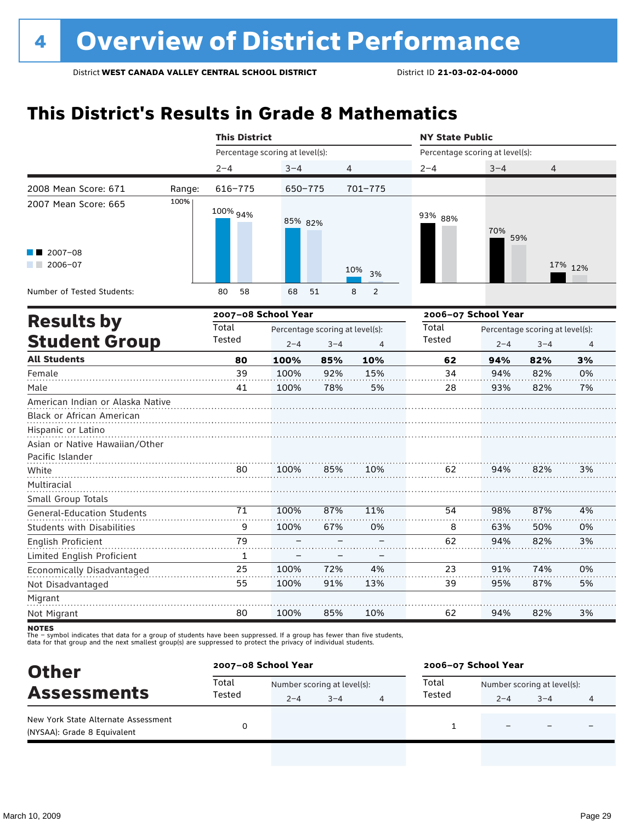## **This District's Results in Grade 8 Mathematics**

|                                                                                                                       | <b>This District</b>            |         |                                                 |                     | <b>NY State Public</b>          |                     |                                            |         |  |
|-----------------------------------------------------------------------------------------------------------------------|---------------------------------|---------|-------------------------------------------------|---------------------|---------------------------------|---------------------|--------------------------------------------|---------|--|
|                                                                                                                       | Percentage scoring at level(s): |         |                                                 |                     | Percentage scoring at level(s): |                     |                                            |         |  |
|                                                                                                                       | $2 - 4$                         | $3 - 4$ | 4                                               |                     | $2 - 4$                         | $3 - 4$             | 4                                          |         |  |
| 2008 Mean Score: 671<br>Range:                                                                                        | $616 - 775$                     | 650-775 |                                                 | $701 - 775$         |                                 |                     |                                            |         |  |
| 100%<br>2007 Mean Score: 665                                                                                          | 100% 94%                        | 85% 82% |                                                 |                     | 93% 88%                         | 70%<br>59%          |                                            |         |  |
| 2007-08<br>2006-07                                                                                                    |                                 |         |                                                 | 10%<br>3%           |                                 |                     |                                            | 17% 12% |  |
| Number of Tested Students:                                                                                            | 58<br>80                        | 68      | 51                                              | 8<br>$\overline{2}$ |                                 |                     |                                            |         |  |
| <b>Results by</b>                                                                                                     | 2007-08 School Year             |         |                                                 |                     |                                 | 2006-07 School Year |                                            |         |  |
| <b>Student Group</b>                                                                                                  | Total<br>Tested                 | $2 - 4$ | Percentage scoring at level(s):<br>$3 - 4$<br>4 |                     |                                 | $2 - 4$             | Percentage scoring at level(s):<br>$3 - 4$ | 4       |  |
| <b>All Students</b>                                                                                                   | 80                              | 100%    | 85%                                             | 10%                 | 62                              | 94%                 | 82%                                        | 3%      |  |
| Female                                                                                                                | 39                              | 100%    | 92%                                             | 15%                 | 34                              | 94%                 | 82%                                        | 0%      |  |
| Male                                                                                                                  | 41                              | 100%    | 78%                                             | 5%                  | 28                              | 93%                 | 82%                                        | 7%      |  |
| American Indian or Alaska Native<br>Black or African American<br>Hispanic or Latino<br>Asian or Native Hawaiian/Other |                                 |         |                                                 |                     |                                 |                     |                                            |         |  |
| Pacific Islander<br>White                                                                                             | 80                              | 100%    | 85%                                             | 10%                 | 62                              | 94%                 | 82%                                        | 3%      |  |
| Multiracial<br>Small Group Totals                                                                                     |                                 |         |                                                 |                     |                                 |                     |                                            |         |  |
| <b>General-Education Students</b>                                                                                     | 71                              | 100%    | 87%                                             | 11%                 | 54                              | 98%                 | 87%                                        | 4%      |  |
| <b>Students with Disabilities</b>                                                                                     | 9                               | 100%    | 67%                                             | 0%                  | 8                               | 63%                 | 50%                                        | 0%      |  |
| English Proficient                                                                                                    | 79                              |         |                                                 |                     | 62                              | 94%                 | 82%                                        | 3%      |  |
| Limited English Proficient                                                                                            | $\mathbf{1}$                    |         |                                                 |                     |                                 |                     |                                            |         |  |
| Economically Disadvantaged                                                                                            | 25                              | 100%    | 72%                                             | 4%                  | 23                              | 91%                 | 74%                                        | 0%      |  |
| Not Disadvantaged                                                                                                     | 55                              | 100%    | 91%                                             | 13%                 | 39                              | 95%                 | 87%                                        | 5%      |  |
| Migrant<br>Not Migrant                                                                                                | 80                              | 100%    | 85%                                             | 10%                 | 62                              | 94%                 | 82%                                        | 3%      |  |

**NOTES** 

| <b>Other</b><br><b>Assessments</b>                                 |                 | 2007-08 School Year         |         |  |        | 2006-07 School Year         |         |   |  |  |
|--------------------------------------------------------------------|-----------------|-----------------------------|---------|--|--------|-----------------------------|---------|---|--|--|
|                                                                    | Total<br>Tested | Number scoring at level(s): |         |  | Total  | Number scoring at level(s): |         |   |  |  |
|                                                                    |                 | $2 - 4$                     | $3 - 4$ |  | Tested | $2 - 4$                     | $3 - 4$ | 4 |  |  |
| New York State Alternate Assessment<br>(NYSAA): Grade 8 Equivalent |                 |                             |         |  |        |                             |         |   |  |  |
|                                                                    |                 |                             |         |  |        |                             |         |   |  |  |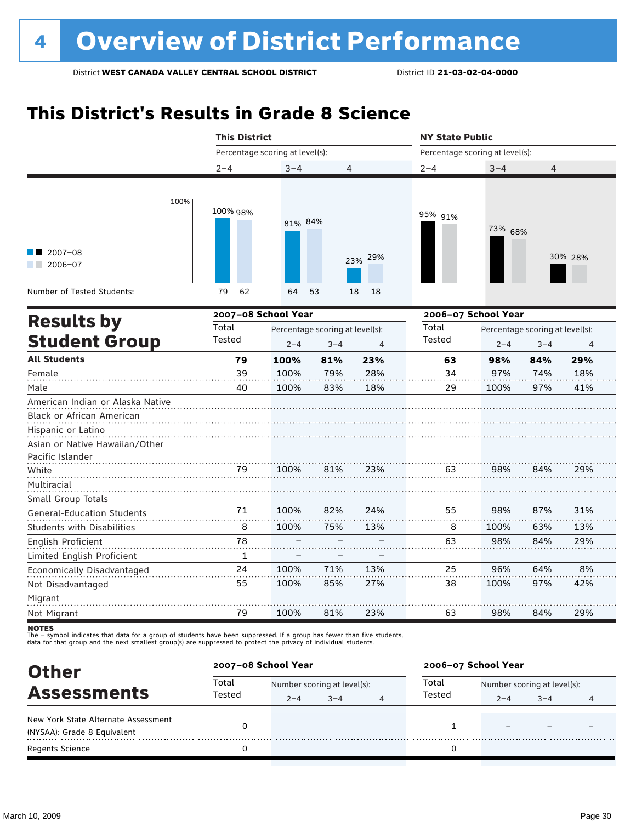# **This District's Results in Grade 8 Science**

|                                                                                                                       | <b>This District</b> |                                 |                                                              | <b>NY State Public</b> |                                 |                     |                                            |                |
|-----------------------------------------------------------------------------------------------------------------------|----------------------|---------------------------------|--------------------------------------------------------------|------------------------|---------------------------------|---------------------|--------------------------------------------|----------------|
|                                                                                                                       |                      | Percentage scoring at level(s): |                                                              |                        | Percentage scoring at level(s): |                     |                                            |                |
|                                                                                                                       | $2 - 4$              | $3 - 4$                         | 4                                                            |                        | $2 - 4$                         | $3 - 4$             | 4                                          |                |
|                                                                                                                       |                      |                                 |                                                              |                        |                                 |                     |                                            |                |
| 100%                                                                                                                  | 100% 98%             | 81% 84%                         |                                                              |                        | 95% 91%                         | 73% 68%             |                                            |                |
| $12007-08$<br>$2006 - 07$                                                                                             |                      |                                 |                                                              | 23% 29%                |                                 |                     |                                            | 30% 28%        |
| Number of Tested Students:                                                                                            | 62<br>79             | 64                              | 53                                                           | 18<br>18               |                                 |                     |                                            |                |
| <b>Results by</b>                                                                                                     |                      | 2007-08 School Year             |                                                              |                        |                                 | 2006-07 School Year |                                            |                |
| <b>Student Group</b>                                                                                                  | Total<br>Tested      | $2 - 4$                         | Percentage scoring at level(s):<br>$3 - 4$<br>$\overline{4}$ |                        |                                 | $2 - 4$             | Percentage scoring at level(s):<br>$3 - 4$ | $\overline{4}$ |
| <b>All Students</b>                                                                                                   | 79                   | 100%                            | 81%                                                          | 23%                    | 63                              | 98%                 | 84%                                        | 29%            |
| Female                                                                                                                | 39                   | 100%                            | 79%                                                          | 28%                    | 34                              | 97%                 | 74%                                        | 18%            |
| Male                                                                                                                  | 40                   | 100%                            | 83%                                                          | 18%                    | 29                              | 100%                | 97%                                        | 41%            |
| American Indian or Alaska Native<br>Black or African American<br>Hispanic or Latino<br>Asian or Native Hawaiian/Other |                      |                                 |                                                              |                        |                                 |                     |                                            |                |
| Pacific Islander                                                                                                      |                      |                                 |                                                              |                        |                                 |                     |                                            |                |
| White<br>Multiracial<br>Small Group Totals                                                                            | 79                   | 100%                            | 81%                                                          | 23%                    | 63                              | 98%                 | 84%                                        | 29%            |
| <b>General-Education Students</b>                                                                                     | 71                   | 100%                            | 82%                                                          | 24%                    | 55                              | 98%                 | 87%                                        | 31%            |
| <b>Students with Disabilities</b>                                                                                     | 8                    | 100%                            | 75%                                                          | 13%                    | 8                               | 100%                | 63%                                        | 13%            |
| English Proficient                                                                                                    | 78                   |                                 |                                                              |                        | 63                              | 98%                 | 84%                                        | 29%            |
| Limited English Proficient                                                                                            | 1                    |                                 |                                                              |                        |                                 |                     |                                            |                |
| Economically Disadvantaged                                                                                            | 24                   | 100%                            | 71%                                                          | 13%                    | 25                              | 96%                 | 64%                                        | 8%             |
| Not Disadvantaged                                                                                                     | 55                   | 100%                            | 85%                                                          | 27%                    | 38                              | 100%                | 97%                                        | 42%            |
| Migrant<br>Not Migrant                                                                                                | 79                   | 100%                            | 81%                                                          | 23%                    | 63                              | 98%                 | 84%                                        | 29%            |

notes

| <b>Other</b><br><b>Assessments</b>                                 | 2007-08 School Year |                             |         |   | 2006-07 School Year |                             |         |   |  |
|--------------------------------------------------------------------|---------------------|-----------------------------|---------|---|---------------------|-----------------------------|---------|---|--|
|                                                                    | Total               | Number scoring at level(s): |         |   | Total               | Number scoring at level(s): |         |   |  |
|                                                                    | Tested              | $2 - 4$                     | $3 - 4$ | 4 | Tested              | $2 - 4$                     | $3 - 4$ | 4 |  |
| New York State Alternate Assessment<br>(NYSAA): Grade 8 Equivalent |                     |                             |         |   |                     |                             |         |   |  |
| <b>Regents Science</b>                                             |                     |                             |         |   |                     |                             |         |   |  |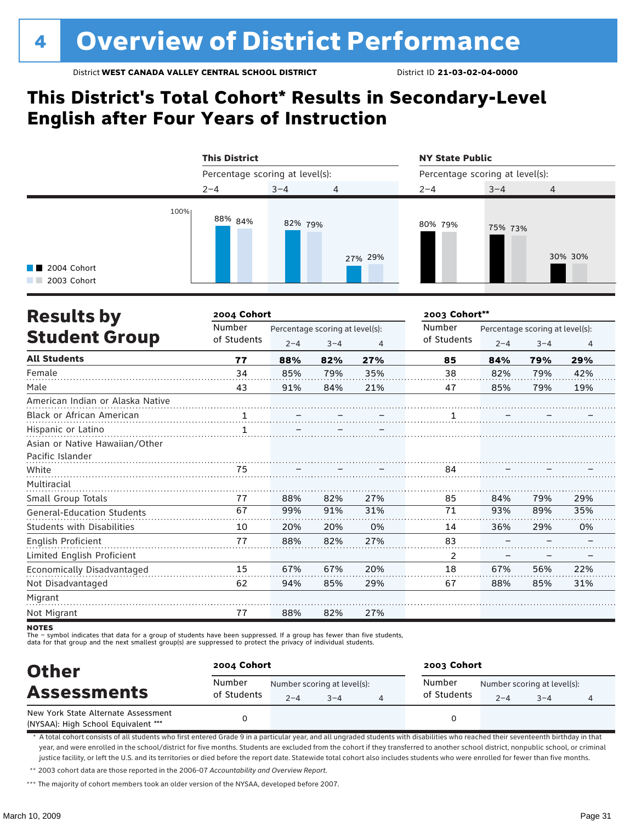### **This District's Total Cohort\* Results in Secondary-Level English after Four Years of Instruction**

|                                             | <b>This District</b>            |         |                | <b>NY State Public</b>          |         |         |  |  |
|---------------------------------------------|---------------------------------|---------|----------------|---------------------------------|---------|---------|--|--|
|                                             | Percentage scoring at level(s): |         |                | Percentage scoring at level(s): |         |         |  |  |
|                                             | $2 - 4$                         | $3 - 4$ | $\overline{4}$ | $2 - 4$                         | $3 - 4$ | 4       |  |  |
| 100%<br><b>1</b> 2004 Cohort<br>2003 Cohort | 88% <sub>84%</sub>              | 82% 79% | 27% 29%        | 80% 79%                         | 75% 73% | 30% 30% |  |  |

| <b>Results by</b>                 | 2004 Cohort           |         |                                            |     | 2003 Cohort**         |         |                                            |     |  |
|-----------------------------------|-----------------------|---------|--------------------------------------------|-----|-----------------------|---------|--------------------------------------------|-----|--|
| <b>Student Group</b>              | Number<br>of Students | $2 - 4$ | Percentage scoring at level(s):<br>$3 - 4$ | 4   | Number<br>of Students | $2 - 4$ | Percentage scoring at level(s):<br>$3 - 4$ | 4   |  |
| <b>All Students</b>               | 77                    | 88%     | 82%                                        | 27% | 85                    | 84%     | 79%                                        | 29% |  |
| Female                            | 34                    | 85%     | 79%                                        | 35% | 38                    | 82%     | 79%                                        | 42% |  |
| Male                              | 43                    | 91%     | 84%                                        | 21% | 47                    | 85%     | 79%                                        | 19% |  |
| American Indian or Alaska Native  |                       |         |                                            |     |                       |         |                                            |     |  |
| <b>Black or African American</b>  | 1                     |         |                                            |     |                       |         |                                            |     |  |
| Hispanic or Latino                | 1                     |         |                                            |     |                       |         |                                            |     |  |
| Asian or Native Hawaiian/Other    |                       |         |                                            |     |                       |         |                                            |     |  |
| Pacific Islander                  |                       |         |                                            |     |                       |         |                                            |     |  |
| White                             | 75                    |         |                                            |     | 84                    |         |                                            |     |  |
| Multiracial                       |                       |         |                                            |     |                       |         |                                            |     |  |
| Small Group Totals                | 77                    | 88%     | 82%                                        | 27% | 85                    | 84%     | 79%                                        | 29% |  |
| <b>General-Education Students</b> | 67                    | 99%     | 91%                                        | 31% | 71                    | 93%     | 89%                                        | 35% |  |
| <b>Students with Disabilities</b> | 10                    | 20%     | 20%                                        | 0%  | 14                    | 36%     | 29%                                        | 0%  |  |
| English Proficient                | 77                    | 88%     | 82%                                        | 27% | 83                    |         |                                            |     |  |
| Limited English Proficient        |                       |         |                                            |     | 2                     |         |                                            |     |  |
| Economically Disadvantaged        | 15                    | 67%     | 67%                                        | 20% | 18                    | 67%     | 56%                                        | 22% |  |
| Not Disadvantaged                 | 62                    | 94%     | 85%                                        | 29% | 67                    | 88%     | 85%                                        | 31% |  |
| Migrant                           |                       |         |                                            |     |                       |         |                                            |     |  |
| Not Migrant                       | 77                    | 88%     | 82%                                        | 27% |                       |         |                                            |     |  |

**NOTES** 

The – symbol indicates that data for a group of students have been suppressed. If a group has fewer than five students,<br>data for that group and the next smallest group(s) are suppressed to protect the privacy of individual

| <b>Other</b><br><b>Assessments</b>                                         | 2004 Cohort           |         |                                        | 2003 Cohort           |         |                                        |   |  |  |
|----------------------------------------------------------------------------|-----------------------|---------|----------------------------------------|-----------------------|---------|----------------------------------------|---|--|--|
|                                                                            | Number<br>of Students | $2 - 4$ | Number scoring at level(s):<br>$3 - 4$ | Number<br>of Students | $2 - 4$ | Number scoring at level(s):<br>$3 - 4$ | 4 |  |  |
| New York State Alternate Assessment<br>(NYSAA): High School Equivalent *** |                       |         |                                        |                       |         |                                        |   |  |  |

\* A total cohort consists of all students who first entered Grade 9 in a particular year, and all ungraded students with disabilities who reached their seventeenth birthday in that year, and were enrolled in the school/district for five months. Students are excluded from the cohort if they transferred to another school district, nonpublic school, or criminal justice facility, or left the U.S. and its territories or died before the report date. Statewide total cohort also includes students who were enrolled for fewer than five months.

\*\* 2003 cohort data are those reported in the 2006-07 *Accountability and Overview Report*.

\*\*\* The majority of cohort members took an older version of the NYSAA, developed before 2007.